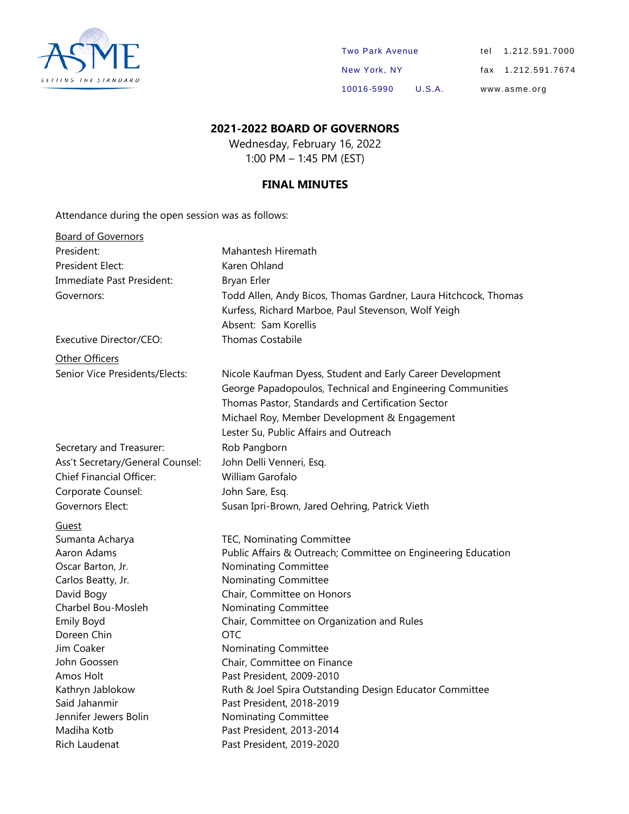

| <b>Two Park Avenue</b> |        | tel 1.212.591.7000 |
|------------------------|--------|--------------------|
| New York, NY           |        | fax 1.212.591.7674 |
| 10016-5990             | U.S.A. | www.asme.org       |

#### **2021-2022 BOARD OF GOVERNORS**

Wednesday, February 16, 2022 1:00 PM – 1:45 PM (EST)

#### **FINAL MINUTES**

Attendance during the open session was as follows:

| <b>Board of Governors</b>        |                                                                                                                                                                                                                                                                         |
|----------------------------------|-------------------------------------------------------------------------------------------------------------------------------------------------------------------------------------------------------------------------------------------------------------------------|
| President:                       | Mahantesh Hiremath                                                                                                                                                                                                                                                      |
| <b>President Elect:</b>          | Karen Ohland                                                                                                                                                                                                                                                            |
| Immediate Past President:        | <b>Bryan Erler</b>                                                                                                                                                                                                                                                      |
| Governors:                       | Todd Allen, Andy Bicos, Thomas Gardner, Laura Hitchcock, Thomas<br>Kurfess, Richard Marboe, Paul Stevenson, Wolf Yeigh<br>Absent: Sam Korellis                                                                                                                          |
| Executive Director/CEO:          | <b>Thomas Costabile</b>                                                                                                                                                                                                                                                 |
| Other Officers                   |                                                                                                                                                                                                                                                                         |
| Senior Vice Presidents/Elects:   | Nicole Kaufman Dyess, Student and Early Career Development<br>George Papadopoulos, Technical and Engineering Communities<br>Thomas Pastor, Standards and Certification Sector<br>Michael Roy, Member Development & Engagement<br>Lester Su, Public Affairs and Outreach |
| Secretary and Treasurer:         | Rob Pangborn                                                                                                                                                                                                                                                            |
| Ass't Secretary/General Counsel: | John Delli Venneri, Esq.                                                                                                                                                                                                                                                |
| <b>Chief Financial Officer:</b>  | William Garofalo                                                                                                                                                                                                                                                        |
| Corporate Counsel:               | John Sare, Esq.                                                                                                                                                                                                                                                         |
| Governors Elect:                 | Susan Ipri-Brown, Jared Oehring, Patrick Vieth                                                                                                                                                                                                                          |
| Guest                            |                                                                                                                                                                                                                                                                         |
| Sumanta Acharya                  | TEC, Nominating Committee                                                                                                                                                                                                                                               |
| Aaron Adams                      | Public Affairs & Outreach; Committee on Engineering Education                                                                                                                                                                                                           |
| Oscar Barton, Jr.                | Nominating Committee                                                                                                                                                                                                                                                    |
| Carlos Beatty, Jr.               | Nominating Committee                                                                                                                                                                                                                                                    |
| David Bogy                       | Chair, Committee on Honors                                                                                                                                                                                                                                              |
| Charbel Bou-Mosleh               | Nominating Committee                                                                                                                                                                                                                                                    |
| Emily Boyd                       | Chair, Committee on Organization and Rules                                                                                                                                                                                                                              |
| Doreen Chin                      | <b>OTC</b>                                                                                                                                                                                                                                                              |
| Jim Coaker                       | Nominating Committee                                                                                                                                                                                                                                                    |
| John Goossen                     | Chair, Committee on Finance                                                                                                                                                                                                                                             |
| Amos Holt                        | Past President, 2009-2010                                                                                                                                                                                                                                               |
| Kathryn Jablokow                 | Ruth & Joel Spira Outstanding Design Educator Committee                                                                                                                                                                                                                 |
| Said Jahanmir                    | Past President, 2018-2019                                                                                                                                                                                                                                               |
| Jennifer Jewers Bolin            | Nominating Committee                                                                                                                                                                                                                                                    |
| Madiha Kotb                      | Past President, 2013-2014                                                                                                                                                                                                                                               |
| Rich Laudenat                    | Past President, 2019-2020                                                                                                                                                                                                                                               |
|                                  |                                                                                                                                                                                                                                                                         |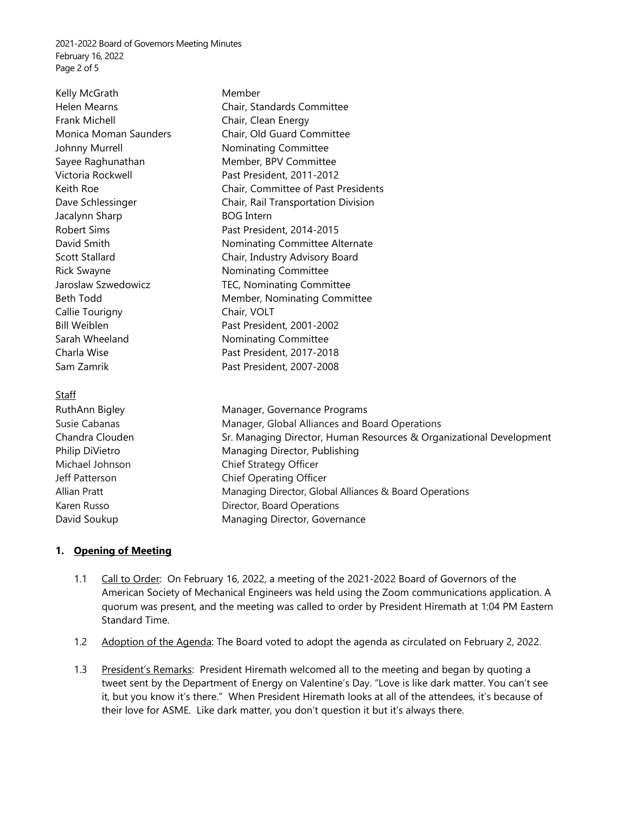2021-2022 Board of Governors Meeting Minutes February 16, 2022 Page 2 of 5

Kelly McGrath Member Frank Michell **Chair**, Clean Energy Johnny Murrell **Nominating Committee** Jacalynn Sharp BOG Intern Rick Swayne **Nominating Committee** Callie Tourigny Chair, VOLT Sarah Wheeland Nominating Committee

#### Staff

RuthAnn Bigley Manager, Governance Programs Susie Cabanas Manager, Global Alliances and Board Operations Chandra Clouden Sr. Managing Director, Human Resources & Organizational Development Philip DiVietro Managing Director, Publishing Michael Johnson Chief Strategy Officer Jeff Patterson Chief Operating Officer Allian Pratt **Managing Director, Global Alliances & Board Operations** Karen Russo **Nightlands** Director, Board Operations David Soukup Managing Director, Governance

#### **1. Opening of Meeting**

- 1.1 Call to Order: On February 16, 2022, a meeting of the 2021-2022 Board of Governors of the American Society of Mechanical Engineers was held using the Zoom communications application. A quorum was present, and the meeting was called to order by President Hiremath at 1:04 PM Eastern Standard Time.
- 1.2 Adoption of the Agenda: The Board voted to adopt the agenda as circulated on February 2, 2022.
- 1.3 President's Remarks: President Hiremath welcomed all to the meeting and began by quoting a tweet sent by the Department of Energy on Valentine's Day. "Love is like dark matter. You can't see it, but you know it's there." When President Hiremath looks at all of the attendees, it's because of their love for ASME. Like dark matter, you don't question it but it's always there.

Helen Mearns Chair, Standards Committee Monica Moman Saunders Chair, Old Guard Committee Sayee Raghunathan Member, BPV Committee Victoria Rockwell Past President, 2011-2012 Keith Roe **Chair, Committee of Past Presidents** Dave Schlessinger **Chair, Rail Transportation Division** Robert Sims Past President, 2014-2015 David Smith Nominating Committee Alternate Scott Stallard Chair, Industry Advisory Board Jaroslaw Szwedowicz TEC, Nominating Committee Beth Todd Member, Nominating Committee Bill Weiblen Past President, 2001-2002 Charla Wise **Past President, 2017-2018** Sam Zamrik **Past President, 2007-2008**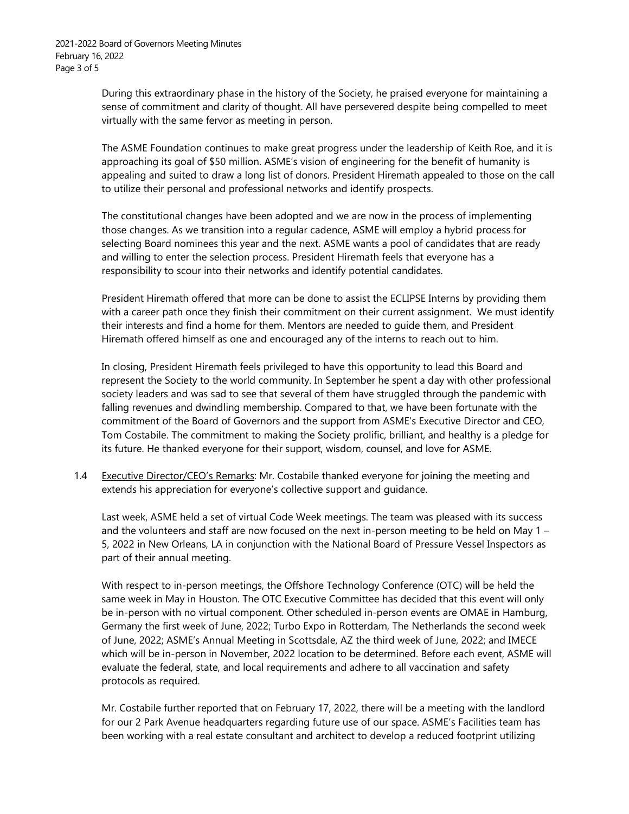During this extraordinary phase in the history of the Society, he praised everyone for maintaining a sense of commitment and clarity of thought. All have persevered despite being compelled to meet virtually with the same fervor as meeting in person.

The ASME Foundation continues to make great progress under the leadership of Keith Roe, and it is approaching its goal of \$50 million. ASME's vision of engineering for the benefit of humanity is appealing and suited to draw a long list of donors. President Hiremath appealed to those on the call to utilize their personal and professional networks and identify prospects.

The constitutional changes have been adopted and we are now in the process of implementing those changes. As we transition into a regular cadence, ASME will employ a hybrid process for selecting Board nominees this year and the next. ASME wants a pool of candidates that are ready and willing to enter the selection process. President Hiremath feels that everyone has a responsibility to scour into their networks and identify potential candidates.

President Hiremath offered that more can be done to assist the ECLIPSE Interns by providing them with a career path once they finish their commitment on their current assignment. We must identify their interests and find a home for them. Mentors are needed to guide them, and President Hiremath offered himself as one and encouraged any of the interns to reach out to him.

In closing, President Hiremath feels privileged to have this opportunity to lead this Board and represent the Society to the world community. In September he spent a day with other professional society leaders and was sad to see that several of them have struggled through the pandemic with falling revenues and dwindling membership. Compared to that, we have been fortunate with the commitment of the Board of Governors and the support from ASME's Executive Director and CEO, Tom Costabile. The commitment to making the Society prolific, brilliant, and healthy is a pledge for its future. He thanked everyone for their support, wisdom, counsel, and love for ASME.

1.4 Executive Director/CEO's Remarks: Mr. Costabile thanked everyone for joining the meeting and extends his appreciation for everyone's collective support and guidance.

Last week, ASME held a set of virtual Code Week meetings. The team was pleased with its success and the volunteers and staff are now focused on the next in-person meeting to be held on May 1 – 5, 2022 in New Orleans, LA in conjunction with the National Board of Pressure Vessel Inspectors as part of their annual meeting.

With respect to in-person meetings, the Offshore Technology Conference (OTC) will be held the same week in May in Houston. The OTC Executive Committee has decided that this event will only be in-person with no virtual component. Other scheduled in-person events are OMAE in Hamburg, Germany the first week of June, 2022; Turbo Expo in Rotterdam, The Netherlands the second week of June, 2022; ASME's Annual Meeting in Scottsdale, AZ the third week of June, 2022; and IMECE which will be in-person in November, 2022 location to be determined. Before each event, ASME will evaluate the federal, state, and local requirements and adhere to all vaccination and safety protocols as required.

Mr. Costabile further reported that on February 17, 2022, there will be a meeting with the landlord for our 2 Park Avenue headquarters regarding future use of our space. ASME's Facilities team has been working with a real estate consultant and architect to develop a reduced footprint utilizing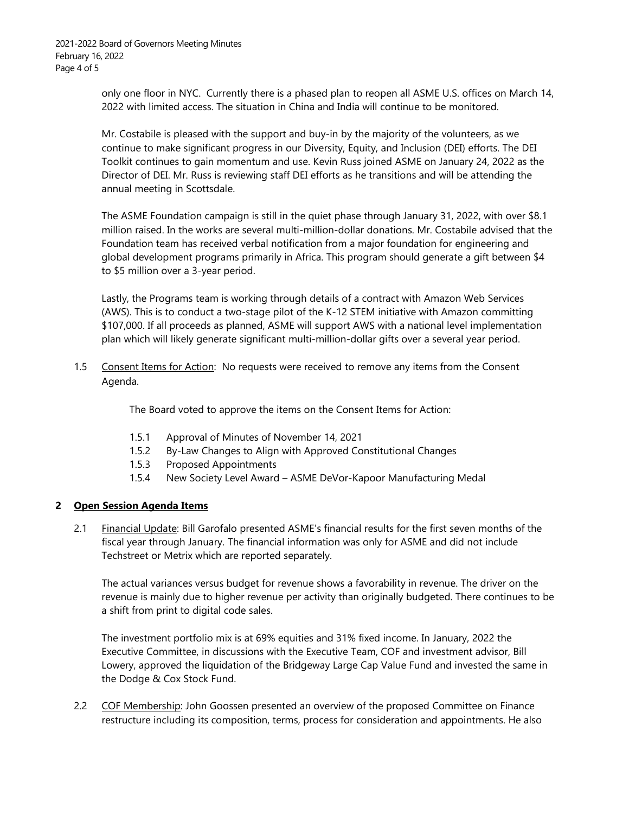2021-2022 Board of Governors Meeting Minutes February 16, 2022 Page 4 of 5

> only one floor in NYC. Currently there is a phased plan to reopen all ASME U.S. offices on March 14, 2022 with limited access. The situation in China and India will continue to be monitored.

Mr. Costabile is pleased with the support and buy-in by the majority of the volunteers, as we continue to make significant progress in our Diversity, Equity, and Inclusion (DEI) efforts. The DEI Toolkit continues to gain momentum and use. Kevin Russ joined ASME on January 24, 2022 as the Director of DEI. Mr. Russ is reviewing staff DEI efforts as he transitions and will be attending the annual meeting in Scottsdale.

The ASME Foundation campaign is still in the quiet phase through January 31, 2022, with over \$8.1 million raised. In the works are several multi-million-dollar donations. Mr. Costabile advised that the Foundation team has received verbal notification from a major foundation for engineering and global development programs primarily in Africa. This program should generate a gift between \$4 to \$5 million over a 3-year period.

Lastly, the Programs team is working through details of a contract with Amazon Web Services (AWS). This is to conduct a two-stage pilot of the K-12 STEM initiative with Amazon committing \$107,000. If all proceeds as planned, ASME will support AWS with a national level implementation plan which will likely generate significant multi-million-dollar gifts over a several year period.

1.5 Consent Items for Action: No requests were received to remove any items from the Consent Agenda.

The Board voted to approve the items on the Consent Items for Action:

- 1.5.1 Approval of Minutes of November 14, 2021
- 1.5.2 By-Law Changes to Align with Approved Constitutional Changes
- 1.5.3 Proposed Appointments
- 1.5.4 New Society Level Award ASME DeVor-Kapoor Manufacturing Medal

#### **2 Open Session Agenda Items**

2.1 Financial Update: Bill Garofalo presented ASME's financial results for the first seven months of the fiscal year through January. The financial information was only for ASME and did not include Techstreet or Metrix which are reported separately.

The actual variances versus budget for revenue shows a favorability in revenue. The driver on the revenue is mainly due to higher revenue per activity than originally budgeted. There continues to be a shift from print to digital code sales.

The investment portfolio mix is at 69% equities and 31% fixed income. In January, 2022 the Executive Committee, in discussions with the Executive Team, COF and investment advisor, Bill Lowery, approved the liquidation of the Bridgeway Large Cap Value Fund and invested the same in the Dodge & Cox Stock Fund.

2.2 COF Membership: John Goossen presented an overview of the proposed Committee on Finance restructure including its composition, terms, process for consideration and appointments. He also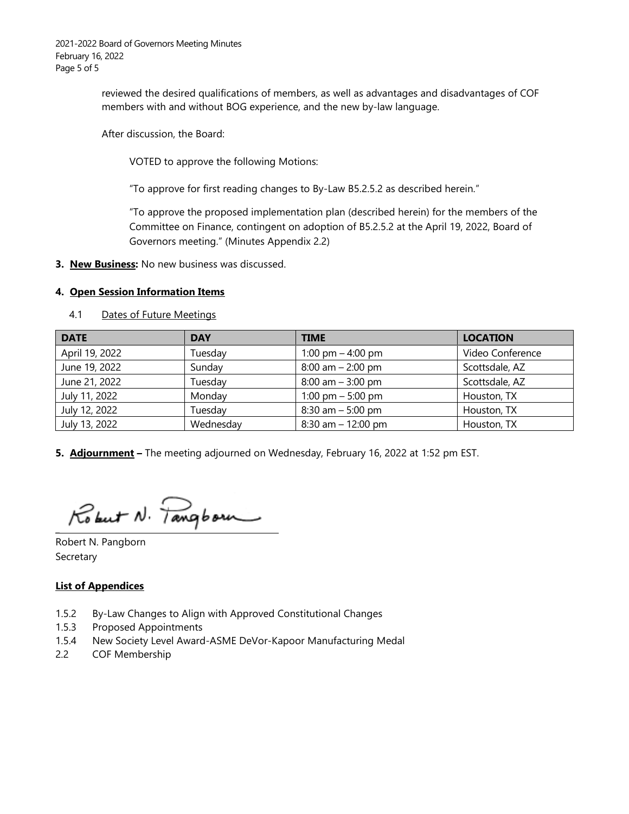2021-2022 Board of Governors Meeting Minutes February 16, 2022 Page 5 of 5

> reviewed the desired qualifications of members, as well as advantages and disadvantages of COF members with and without BOG experience, and the new by-law language.

After discussion, the Board:

VOTED to approve the following Motions:

"To approve for first reading changes to By-Law B5.2.5.2 as described herein."

"To approve the proposed implementation plan (described herein) for the members of the Committee on Finance, contingent on adoption of B5.2.5.2 at the April 19, 2022, Board of Governors meeting." (Minutes Appendix 2.2)

**3. New Business:** No new business was discussed.

#### **4. Open Session Information Items**

| <b>DATE</b>    | <b>DAY</b> | <b>TIME</b>           | <b>LOCATION</b>  |
|----------------|------------|-----------------------|------------------|
| April 19, 2022 | Tuesday    | 1:00 pm $-$ 4:00 pm   | Video Conference |
| June 19, 2022  | Sunday     | $8:00$ am $- 2:00$ pm | Scottsdale, AZ   |
| June 21, 2022  | Tuesday    | $8:00$ am $-3:00$ pm  | Scottsdale, AZ   |
| July 11, 2022  | Monday     | 1:00 pm $-$ 5:00 pm   | Houston, TX      |
| July 12, 2022  | Tuesday    | $8:30$ am $-5:00$ pm  | Houston, TX      |
| July 13, 2022  | Wednesday  | $8:30$ am $-12:00$ pm | Houston, TX      |

4.1 Dates of Future Meetings

**5. Adjournment –** The meeting adjourned on Wednesday, February 16, 2022 at 1:52 pm EST.

Robert N. Pangborn

Robert N. Pangborn Secretary

**\_**

#### **List of Appendices**

- 1.5.2 By-Law Changes to Align with Approved Constitutional Changes
- 1.5.3 Proposed Appointments
- 1.5.4 New Society Level Award-ASME DeVor-Kapoor Manufacturing Medal
- 2.2 COF Membership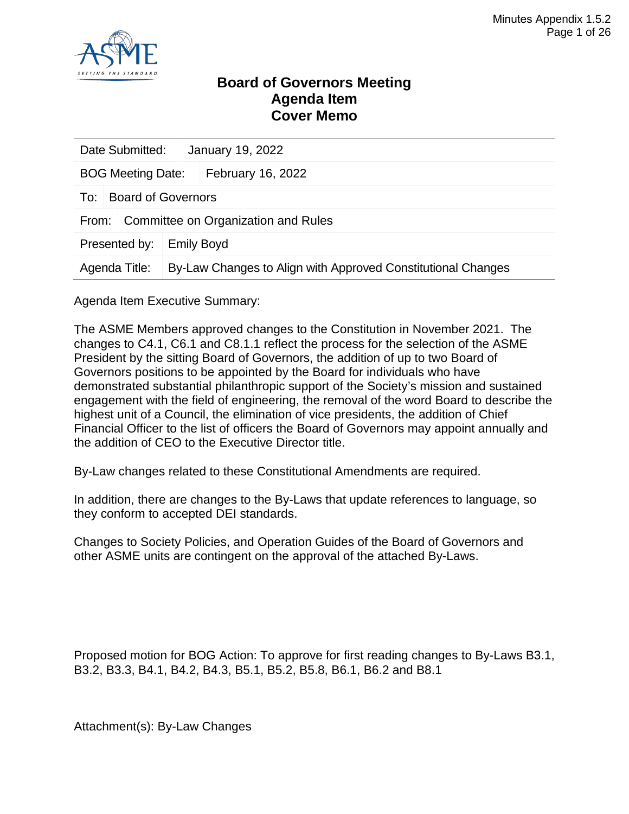

#### **Board of Governors Meeting Agenda Item Cover Memo**

|                                    | Date Submitted:<br>January 19, 2022          |  |                                                              |  |  |
|------------------------------------|----------------------------------------------|--|--------------------------------------------------------------|--|--|
| <b>BOG Meeting Date:</b>           |                                              |  | February 16, 2022                                            |  |  |
| To:                                | <b>Board of Governors</b>                    |  |                                                              |  |  |
|                                    | Committee on Organization and Rules<br>From: |  |                                                              |  |  |
| Presented by:<br><b>Emily Boyd</b> |                                              |  |                                                              |  |  |
| Agenda Title:                      |                                              |  | By-Law Changes to Align with Approved Constitutional Changes |  |  |

Agenda Item Executive Summary:

The ASME Members approved changes to the Constitution in November 2021. The changes to C4.1, C6.1 and C8.1.1 reflect the process for the selection of the ASME President by the sitting Board of Governors, the addition of up to two Board of Governors positions to be appointed by the Board for individuals who have demonstrated substantial philanthropic support of the Society's mission and sustained engagement with the field of engineering, the removal of the word Board to describe the highest unit of a Council, the elimination of vice presidents, the addition of Chief Financial Officer to the list of officers the Board of Governors may appoint annually and the addition of CEO to the Executive Director title.

By-Law changes related to these Constitutional Amendments are required.

In addition, there are changes to the By-Laws that update references to language, so they conform to accepted DEI standards.

Changes to Society Policies, and Operation Guides of the Board of Governors and other ASME units are contingent on the approval of the attached By-Laws.

Proposed motion for BOG Action: To approve for first reading changes to By-Laws B3.1, B3.2, B3.3, B4.1, B4.2, B4.3, B5.1, B5.2, B5.8, B6.1, B6.2 and B8.1

Attachment(s): By-Law Changes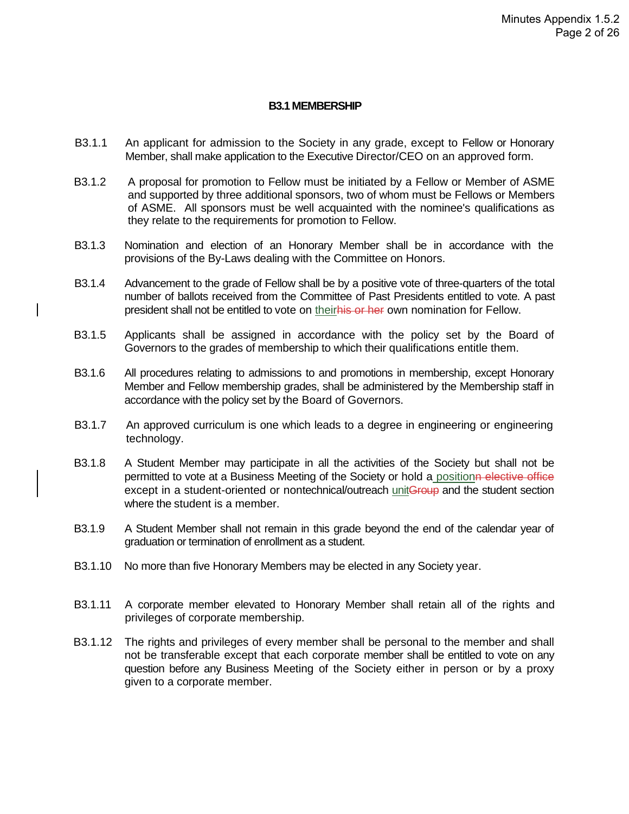#### **B3.1 MEMBERSHIP**

- B3.1.1 An applicant for admission to the Society in any grade, except to Fellow or Honorary Member, shall make application to the Executive Director/CEO on an approved form.
- B3.1.2 A proposal for promotion to Fellow must be initiated by a Fellow or Member of ASME and supported by three additional sponsors, two of whom must be Fellows or Members of ASME. All sponsors must be well acquainted with the nominee's qualifications as they relate to the requirements for promotion to Fellow.
- B3.1.3 Nomination and election of an Honorary Member shall be in accordance with the provisions of the By-Laws dealing with the Committee on Honors.
- B3.1.4 Advancement to the grade of Fellow shall be by a positive vote of three-quarters of the total number of ballots received from the Committee of Past Presidents entitled to vote. A past president shall not be entitled to vote on theirhis or her own nomination for Fellow.
- B3.1.5 Applicants shall be assigned in accordance with the policy set by the Board of Governors to the grades of membership to which their qualifications entitle them.
- B3.1.6 All procedures relating to admissions to and promotions in membership, except Honorary Member and Fellow membership grades, shall be administered by the Membership staff in accordance with the policy set by the Board of Governors.
- B3.1.7 An approved curriculum is one which leads to a degree in engineering or engineering technology.
- B3.1.8 A Student Member may participate in all the activities of the Society but shall not be permitted to vote at a Business Meeting of the Society or hold a positionn elective office except in a student-oriented or nontechnical/outreach unitGroup and the student section where the student is a member.
- B3.1.9 A Student Member shall not remain in this grade beyond the end of the calendar year of graduation or termination of enrollment as a student.
- B3.1.10 No more than five Honorary Members may be elected in any Society year.
- B3.1.11 A corporate member elevated to Honorary Member shall retain all of the rights and privileges of corporate membership.
- B3.1.12 The rights and privileges of every member shall be personal to the member and shall not be transferable except that each corporate member shall be entitled to vote on any question before any Business Meeting of the Society either in person or by a proxy given to a corporate member.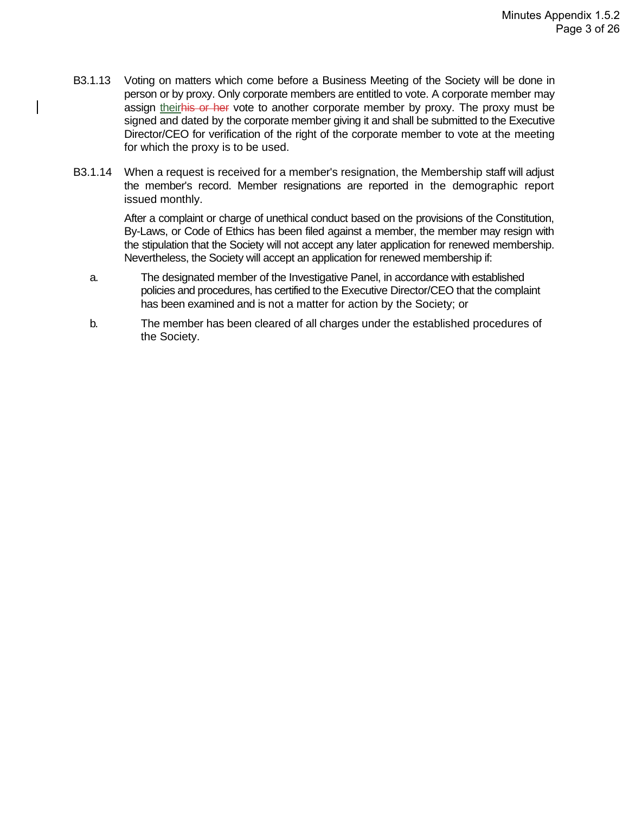- B3.1.13 Voting on matters which come before a Business Meeting of the Society will be done in person or by proxy. Only corporate members are entitled to vote. A corporate member may assign theirhis or her vote to another corporate member by proxy. The proxy must be signed and dated by the corporate member giving it and shall be submitted to the Executive Director/CEO for verification of the right of the corporate member to vote at the meeting for which the proxy is to be used.
- B3.1.14 When a request is received for a member's resignation, the Membership staff will adjust the member's record. Member resignations are reported in the demographic report issued monthly.

After a complaint or charge of unethical conduct based on the provisions of the Constitution, By-Laws, or Code of Ethics has been filed against a member, the member may resign with the stipulation that the Society will not accept any later application for renewed membership. Nevertheless, the Society will accept an application for renewed membership if:

- a. The designated member of the Investigative Panel, in accordance with established policies and procedures, has certified to the Executive Director/CEO that the complaint has been examined and is not a matter for action by the Society; or
- b. The member has been cleared of all charges under the established procedures of the Society.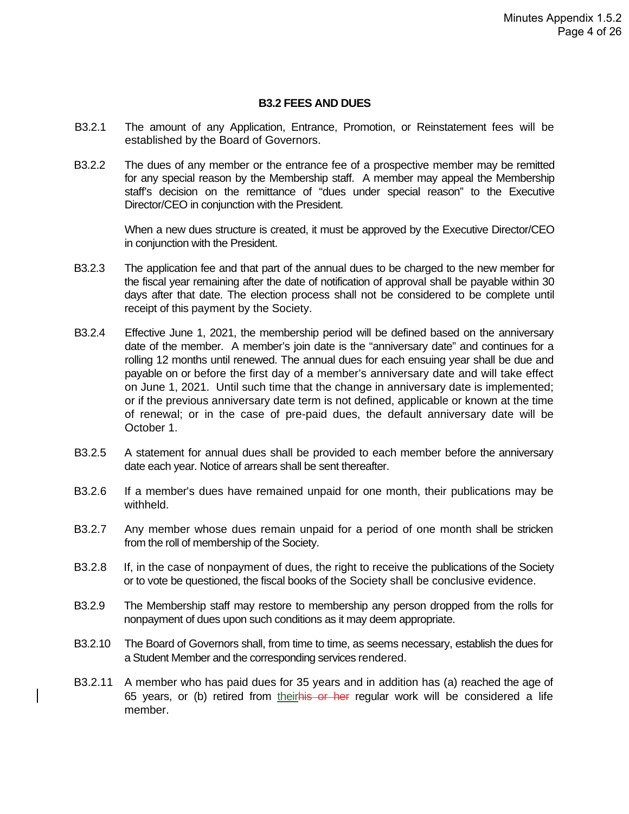#### **B3.2 FEES AND DUES**

- B3.2.1 The amount of any Application, Entrance, Promotion, or Reinstatement fees will be established by the Board of Governors.
- B3.2.2 The dues of any member or the entrance fee of a prospective member may be remitted for any special reason by the Membership staff. A member may appeal the Membership staff's decision on the remittance of "dues under special reason" to the Executive Director/CEO in conjunction with the President.

When a new dues structure is created, it must be approved by the Executive Director/CEO in conjunction with the President.

- B3.2.3 The application fee and that part of the annual dues to be charged to the new member for the fiscal year remaining after the date of notification of approval shall be payable within 30 days after that date. The election process shall not be considered to be complete until receipt of this payment by the Society.
- B3.2.4 Effective June 1, 2021, the membership period will be defined based on the anniversary date of the member. A member's join date is the "anniversary date" and continues for a rolling 12 months until renewed. The annual dues for each ensuing year shall be due and payable on or before the first day of a member's anniversary date and will take effect on June 1, 2021. Until such time that the change in anniversary date is implemented; or if the previous anniversary date term is not defined, applicable or known at the time of renewal; or in the case of pre-paid dues, the default anniversary date will be October 1.
- B3.2.5 A statement for annual dues shall be provided to each member before the anniversary date each year. Notice of arrears shall be sent thereafter.
- B3.2.6 If a member's dues have remained unpaid for one month, their publications may be withheld.
- B3.2.7 Any member whose dues remain unpaid for a period of one month shall be stricken from the roll of membership of the Society.
- B3.2.8 If, in the case of nonpayment of dues, the right to receive the publications of the Society or to vote be questioned, the fiscal books of the Society shall be conclusive evidence.
- B3.2.9 The Membership staff may restore to membership any person dropped from the rolls for nonpayment of dues upon such conditions as it may deem appropriate.
- B3.2.10 The Board of Governors shall, from time to time, as seems necessary, establish the dues for a Student Member and the corresponding services rendered.
- B3.2.11 A member who has paid dues for 35 years and in addition has (a) reached the age of 65 years, or (b) retired from theirhis or her regular work will be considered a life member.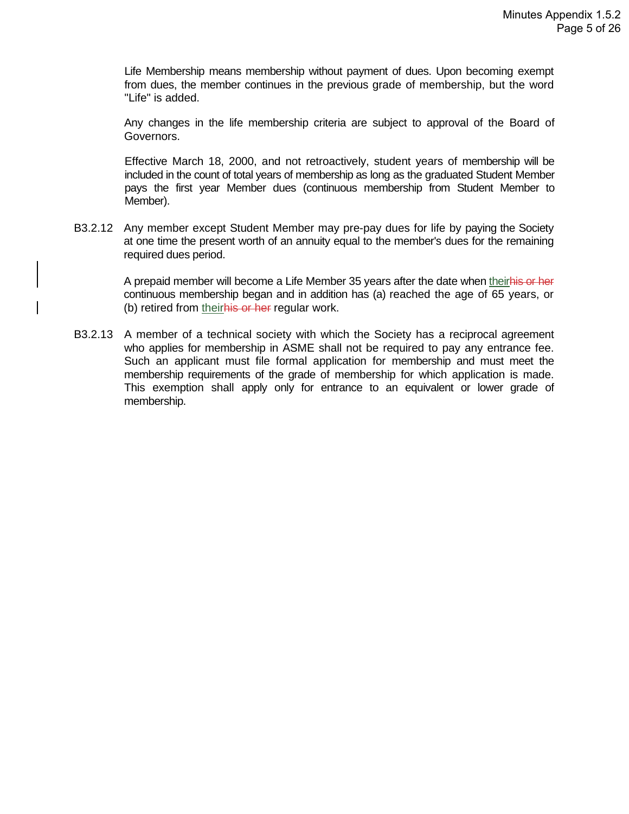Life Membership means membership without payment of dues. Upon becoming exempt from dues, the member continues in the previous grade of membership, but the word "Life" is added.

Any changes in the life membership criteria are subject to approval of the Board of Governors.

Effective March 18, 2000, and not retroactively, student years of membership will be included in the count of total years of membership as long as the graduated Student Member pays the first year Member dues (continuous membership from Student Member to Member).

B3.2.12 Any member except Student Member may pre-pay dues for life by paying the Society at one time the present worth of an annuity equal to the member's dues for the remaining required dues period.

> A prepaid member will become a Life Member 35 years after the date when theirhis or her continuous membership began and in addition has (a) reached the age of 65 years, or (b) retired from their his or her regular work.

B3.2.13 A member of a technical society with which the Society has a reciprocal agreement who applies for membership in ASME shall not be required to pay any entrance fee. Such an applicant must file formal application for membership and must meet the membership requirements of the grade of membership for which application is made. This exemption shall apply only for entrance to an equivalent or lower grade of membership.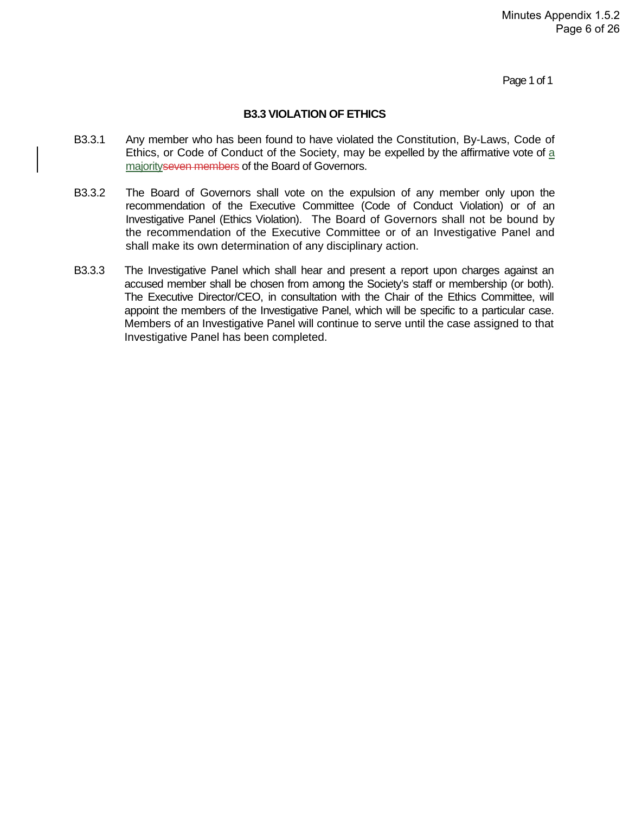Page 1 of 1

#### **B3.3 VIOLATION OF ETHICS**

- B3.3.1 Any member who has been found to have violated the Constitution, By-Laws, Code of Ethics, or Code of Conduct of the Society, may be expelled by the affirmative vote of a majority seven members of the Board of Governors.
- B3.3.2 The Board of Governors shall vote on the expulsion of any member only upon the recommendation of the Executive Committee (Code of Conduct Violation) or of an Investigative Panel (Ethics Violation). The Board of Governors shall not be bound by the recommendation of the Executive Committee or of an Investigative Panel and shall make its own determination of any disciplinary action.
- B3.3.3 The Investigative Panel which shall hear and present a report upon charges against an accused member shall be chosen from among the Society's staff or membership (or both). The Executive Director/CEO, in consultation with the Chair of the Ethics Committee, will appoint the members of the Investigative Panel, which will be specific to a particular case. Members of an Investigative Panel will continue to serve until the case assigned to that Investigative Panel has been completed.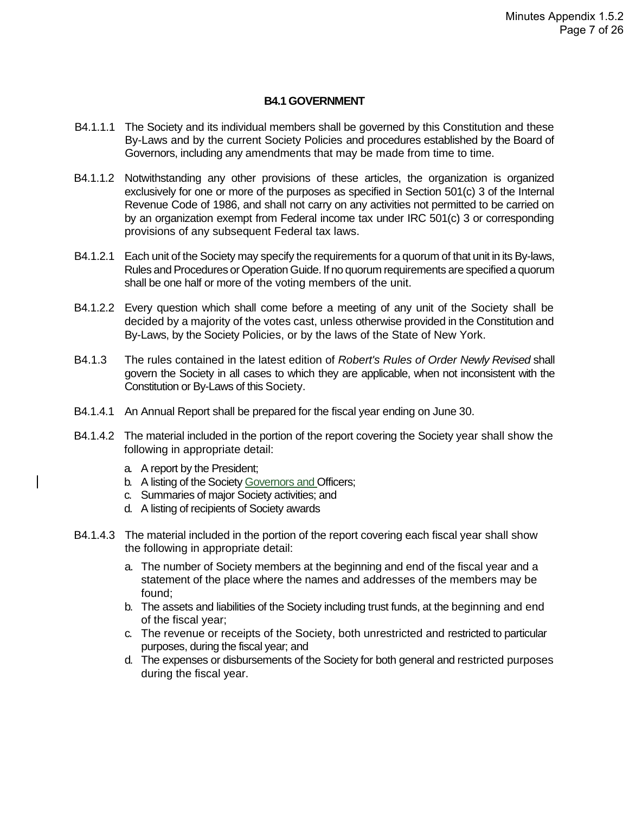#### **B4.1 GOVERNMENT**

- B4.1.1.1 The Society and its individual members shall be governed by this Constitution and these By-Laws and by the current Society Policies and procedures established by the Board of Governors, including any amendments that may be made from time to time.
- B4.1.1.2 Notwithstanding any other provisions of these articles, the organization is organized exclusively for one or more of the purposes as specified in Section 501(c) 3 of the Internal Revenue Code of 1986, and shall not carry on any activities not permitted to be carried on by an organization exempt from Federal income tax under IRC 501(c) 3 or corresponding provisions of any subsequent Federal tax laws.
- B4.1.2.1 Each unit of the Society may specify the requirements for a quorum of that unit in its By-laws, Rules and Procedures or Operation Guide. If no quorum requirements are specified a quorum shall be one half or more of the voting members of the unit.
- B4.1.2.2 Every question which shall come before a meeting of any unit of the Society shall be decided by a majority of the votes cast, unless otherwise provided in the Constitution and By-Laws, by the Society Policies, or by the laws of the State of New York.
- B4.1.3 The rules contained in the latest edition of *Robert's Rules of Order Newly Revised* shall govern the Society in all cases to which they are applicable, when not inconsistent with the Constitution or By-Laws of this Society.
- B4.1.4.1 An Annual Report shall be prepared for the fiscal year ending on June 30.
- B4.1.4.2 The material included in the portion of the report covering the Society year shall show the following in appropriate detail:
	- a. A report by the President;
	- b. A listing of the Society Governors and Officers;
	- c. Summaries of major Society activities; and
	- d. A listing of recipients of Society awards
- B4.1.4.3 The material included in the portion of the report covering each fiscal year shall show the following in appropriate detail:
	- a. The number of Society members at the beginning and end of the fiscal year and a statement of the place where the names and addresses of the members may be found;
	- b. The assets and liabilities of the Society including trust funds, at the beginning and end of the fiscal year;
	- c. The revenue or receipts of the Society, both unrestricted and restricted to particular purposes, during the fiscal year; and
	- d. The expenses or disbursements of the Society for both general and restricted purposes during the fiscal year.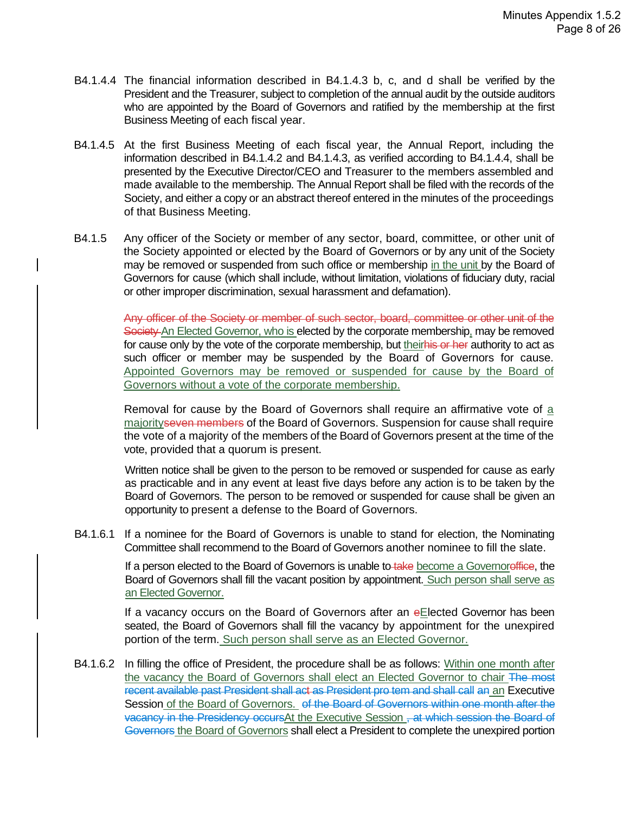- B4.1.4.4 The financial information described in B4.1.4.3 b, c, and d shall be verified by the President and the Treasurer, subject to completion of the annual audit by the outside auditors who are appointed by the Board of Governors and ratified by the membership at the first Business Meeting of each fiscal year.
- B4.1.4.5 At the first Business Meeting of each fiscal year, the Annual Report, including the information described in B4.1.4.2 and B4.1.4.3, as verified according to B4.1.4.4, shall be presented by the Executive Director/CEO and Treasurer to the members assembled and made available to the membership. The Annual Report shall be filed with the records of the Society, and either a copy or an abstract thereof entered in the minutes of the proceedings of that Business Meeting.
- B4.1.5 Any officer of the Society or member of any sector, board, committee, or other unit of the Society appointed or elected by the Board of Governors or by any unit of the Society may be removed or suspended from such office or membership in the unit by the Board of Governors for cause (which shall include, without limitation, violations of fiduciary duty, racial or other improper discrimination, sexual harassment and defamation).

Any officer of the Society or member of such sector, board, committee or other unit of the Society An Elected Governor, who is elected by the corporate membership, may be removed for cause only by the vote of the corporate membership, but theirhis or her authority to act as such officer or member may be suspended by the Board of Governors for cause. Appointed Governors may be removed or suspended for cause by the Board of Governors without a vote of the corporate membership.

Removal for cause by the Board of Governors shall require an affirmative vote of a majorityseven members of the Board of Governors. Suspension for cause shall require the vote of a majority of the members of the Board of Governors present at the time of the vote, provided that a quorum is present.

Written notice shall be given to the person to be removed or suspended for cause as early as practicable and in any event at least five days before any action is to be taken by the Board of Governors. The person to be removed or suspended for cause shall be given an opportunity to present a defense to the Board of Governors.

B4.1.6.1 If a nominee for the Board of Governors is unable to stand for election, the Nominating Committee shall recommend to the Board of Governors another nominee to fill the slate.

> If a person elected to the Board of Governors is unable to take become a Governoreffice, the Board of Governors shall fill the vacant position by appointment. Such person shall serve as an Elected Governor.

> If a vacancy occurs on the Board of Governors after an eElected Governor has been seated, the Board of Governors shall fill the vacancy by appointment for the unexpired portion of the term. Such person shall serve as an Elected Governor.

B4.1.6.2 In filling the office of President, the procedure shall be as follows: Within one month after the vacancy the Board of Governors shall elect an Elected Governor to chair The most recent available past President shall act as President pro tem and shall call an an Executive Session of the Board of Governors. of the Board of Governors within one month after the vacancy in the Presidency occursAt the Executive Session, at which session the Board of Governors the Board of Governors shall elect a President to complete the unexpired portion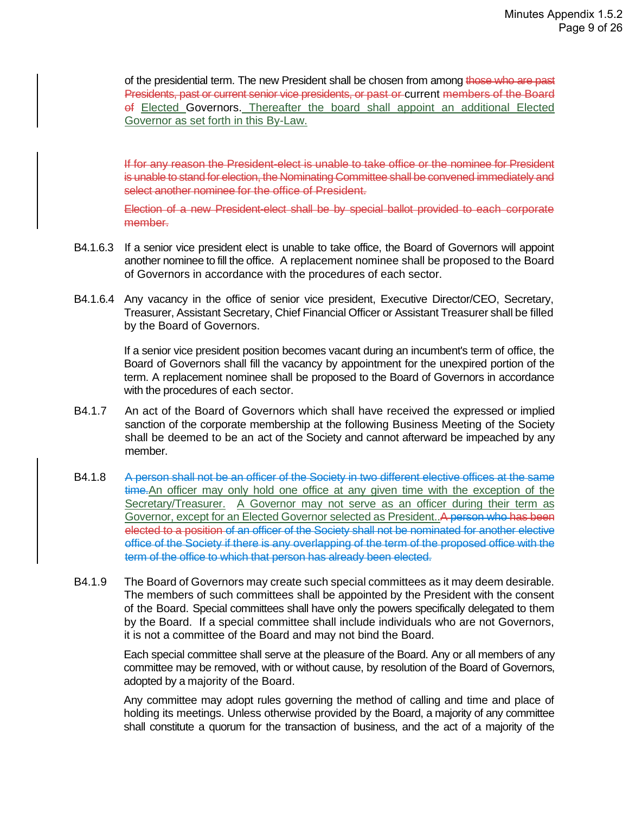of the presidential term. The new President shall be chosen from among those who are past Presidents, past or current senior vice presidents, or past or current members of the Board of Elected Governors. Thereafter the board shall appoint an additional Elected Governor as set forth in this By-Law.

If for any reason the President-elect is unable to take office or the nominee for President is unable to stand for election, the Nominating Committee shall be convened immediately and select another nominee for the office of President.

Election of a new President-elect shall be by special ballot provided to each corporate member.

- B4.1.6.3 If a senior vice president elect is unable to take office, the Board of Governors will appoint another nominee to fill the office. A replacement nominee shall be proposed to the Board of Governors in accordance with the procedures of each sector.
- B4.1.6.4 Any vacancy in the office of senior vice president, Executive Director/CEO, Secretary, Treasurer, Assistant Secretary, Chief Financial Officer or Assistant Treasurer shall be filled by the Board of Governors.

If a senior vice president position becomes vacant during an incumbent's term of office, the Board of Governors shall fill the vacancy by appointment for the unexpired portion of the term. A replacement nominee shall be proposed to the Board of Governors in accordance with the procedures of each sector.

- B4.1.7 An act of the Board of Governors which shall have received the expressed or implied sanction of the corporate membership at the following Business Meeting of the Society shall be deemed to be an act of the Society and cannot afterward be impeached by any member.
- B4.1.8 A person shall not be an officer of the Society in two different elective offices at the same time. An officer may only hold one office at any given time with the exception of the Secretary/Treasurer. A Governor may not serve as an officer during their term as Governor, except for an Elected Governor selected as President..A person who has been elected to a position of an officer of the Society shall not be nominated for another elective office of the Society if there is any overlapping of the term of the proposed office with the term of the office to which that person has already been elected.
- B4.1.9 The Board of Governors may create such special committees as it may deem desirable. The members of such committees shall be appointed by the President with the consent of the Board. Special committees shall have only the powers specifically delegated to them by the Board. If a special committee shall include individuals who are not Governors, it is not a committee of the Board and may not bind the Board.

Each special committee shall serve at the pleasure of the Board. Any or all members of any committee may be removed, with or without cause, by resolution of the Board of Governors, adopted by a majority of the Board.

Any committee may adopt rules governing the method of calling and time and place of holding its meetings. Unless otherwise provided by the Board, a majority of any committee shall constitute a quorum for the transaction of business, and the act of a majority of the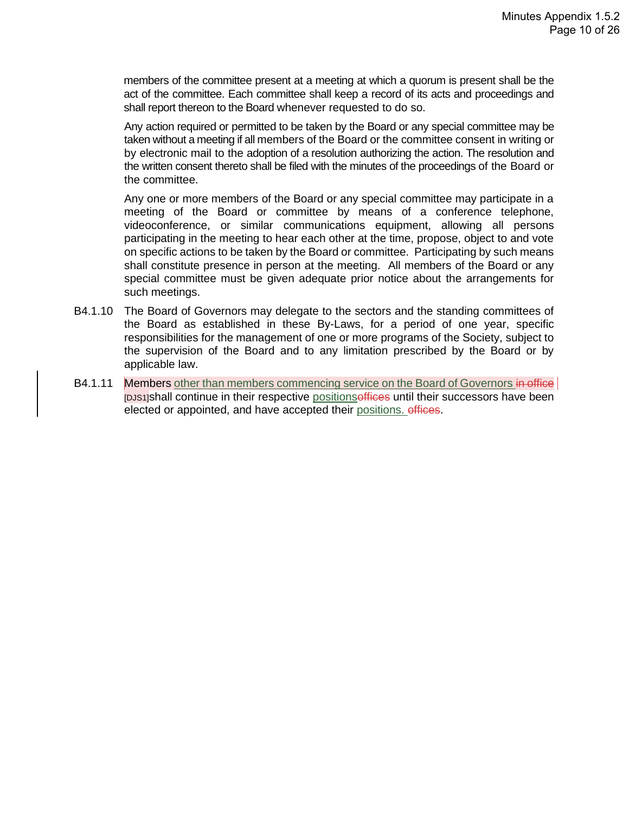members of the committee present at a meeting at which a quorum is present shall be the act of the committee. Each committee shall keep a record of its acts and proceedings and shall report thereon to the Board whenever requested to do so.

Any action required or permitted to be taken by the Board or any special committee may be taken without a meeting if all members of the Board or the committee consent in writing or by electronic mail to the adoption of a resolution authorizing the action. The resolution and the written consent thereto shall be filed with the minutes of the proceedings of the Board or the committee.

Any one or more members of the Board or any special committee may participate in a meeting of the Board or committee by means of a conference telephone, videoconference, or similar communications equipment, allowing all persons participating in the meeting to hear each other at the time, propose, object to and vote on specific actions to be taken by the Board or committee. Participating by such means shall constitute presence in person at the meeting. All members of the Board or any special committee must be given adequate prior notice about the arrangements for such meetings.

- B4.1.10 The Board of Governors may delegate to the sectors and the standing committees of the Board as established in these By-Laws, for a period of one year, specific responsibilities for the management of one or more programs of the Society, subject to the supervision of the Board and to any limitation prescribed by the Board or by applicable law.
- B4.1.11 Members other than members commencing service on the Board of Governors in office [DJS1]shall continue in their respective positionsoffices until their successors have been elected or appointed, and have accepted their positions. offices.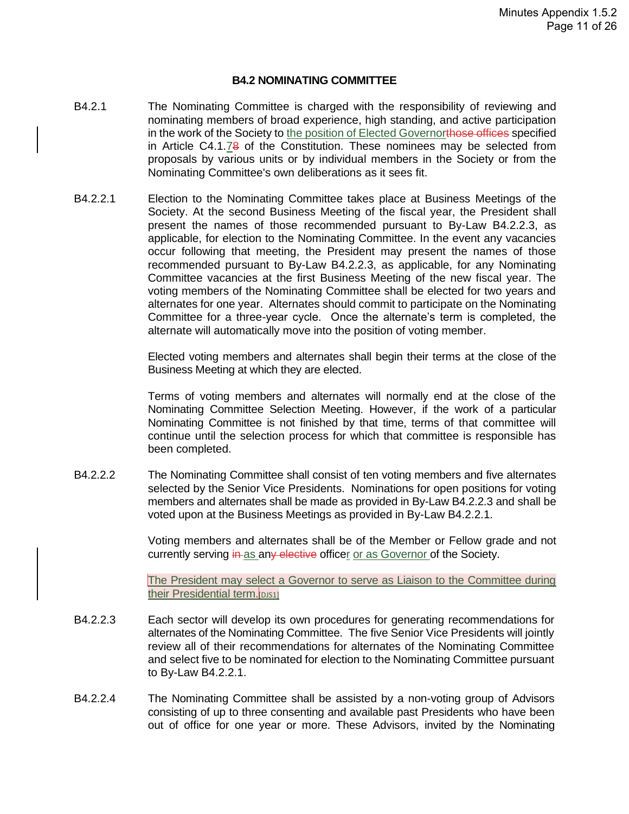#### **B4.2 NOMINATING COMMITTEE**

- B4.2.1 The Nominating Committee is charged with the responsibility of reviewing and nominating members of broad experience, high standing, and active participation in the work of the Society to the position of Elected Governorthose offices specified in Article C4.1.78 of the Constitution. These nominees may be selected from proposals by various units or by individual members in the Society or from the Nominating Committee's own deliberations as it sees fit.
- B4.2.2.1 Election to the Nominating Committee takes place at Business Meetings of the Society. At the second Business Meeting of the fiscal year, the President shall present the names of those recommended pursuant to By-Law B4.2.2.3, as applicable, for election to the Nominating Committee. In the event any vacancies occur following that meeting, the President may present the names of those recommended pursuant to By-Law B4.2.2.3, as applicable, for any Nominating Committee vacancies at the first Business Meeting of the new fiscal year. The voting members of the Nominating Committee shall be elected for two years and alternates for one year. Alternates should commit to participate on the Nominating Committee for a three-year cycle. Once the alternate's term is completed, the alternate will automatically move into the position of voting member.

Elected voting members and alternates shall begin their terms at the close of the Business Meeting at which they are elected.

Terms of voting members and alternates will normally end at the close of the Nominating Committee Selection Meeting. However, if the work of a particular Nominating Committee is not finished by that time, terms of that committee will continue until the selection process for which that committee is responsible has been completed.

B4.2.2.2 The Nominating Committee shall consist of ten voting members and five alternates selected by the Senior Vice Presidents. Nominations for open positions for voting members and alternates shall be made as provided in By-Law B4.2.2.3 and shall be voted upon at the Business Meetings as provided in By-Law B4.2.2.1.

> Voting members and alternates shall be of the Member or Fellow grade and not currently serving in as any elective officer or as Governor of the Society.

> The President may select a Governor to serve as Liaison to the Committee during their Presidential term. DJS1]

- B4.2.2.3 Each sector will develop its own procedures for generating recommendations for alternates of the Nominating Committee. The five Senior Vice Presidents will jointly review all of their recommendations for alternates of the Nominating Committee and select five to be nominated for election to the Nominating Committee pursuant to By-Law B4.2.2.1.
- B4.2.2.4 The Nominating Committee shall be assisted by a non-voting group of Advisors consisting of up to three consenting and available past Presidents who have been out of office for one year or more. These Advisors, invited by the Nominating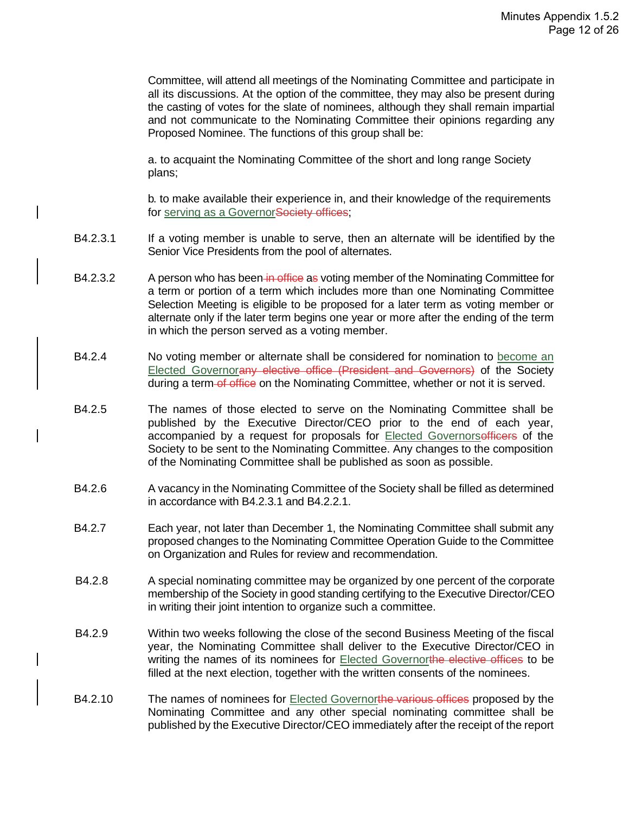Committee, will attend all meetings of the Nominating Committee and participate in all its discussions. At the option of the committee, they may also be present during the casting of votes for the slate of nominees, although they shall remain impartial and not communicate to the Nominating Committee their opinions regarding any Proposed Nominee. The functions of this group shall be:

a. to acquaint the Nominating Committee of the short and long range Society plans;

b. to make available their experience in, and their knowledge of the requirements for serving as a GovernorSociety offices;

- B4.2.3.1 If a voting member is unable to serve, then an alternate will be identified by the Senior Vice Presidents from the pool of alternates.
- B4.2.3.2 A person who has been in office as voting member of the Nominating Committee for a term or portion of a term which includes more than one Nominating Committee Selection Meeting is eligible to be proposed for a later term as voting member or alternate only if the later term begins one year or more after the ending of the term in which the person served as a voting member.
- B4.2.4 No voting member or alternate shall be considered for nomination to become an Elected Governorany elective office (President and Governors) of the Society during a term-of office on the Nominating Committee, whether or not it is served.
- B4.2.5 The names of those elected to serve on the Nominating Committee shall be published by the Executive Director/CEO prior to the end of each year, accompanied by a request for proposals for Elected Governorsefficers of the Society to be sent to the Nominating Committee. Any changes to the composition of the Nominating Committee shall be published as soon as possible.
- B4.2.6 A vacancy in the Nominating Committee of the Society shall be filled as determined in accordance with B4.2.3.1 and B4.2.2.1.
- B4.2.7 Each year, not later than December 1, the Nominating Committee shall submit any proposed changes to the Nominating Committee Operation Guide to the Committee on Organization and Rules for review and recommendation.
- B4.2.8 A special nominating committee may be organized by one percent of the corporate membership of the Society in good standing certifying to the Executive Director/CEO in writing their joint intention to organize such a committee.
- B4.2.9 Within two weeks following the close of the second Business Meeting of the fiscal year, the Nominating Committee shall deliver to the Executive Director/CEO in writing the names of its nominees for **Elected Governorthe elective offices** to be filled at the next election, together with the written consents of the nominees.
- B4.2.10 The names of nominees for Elected Governorthe various offices proposed by the Nominating Committee and any other special nominating committee shall be published by the Executive Director/CEO immediately after the receipt of the report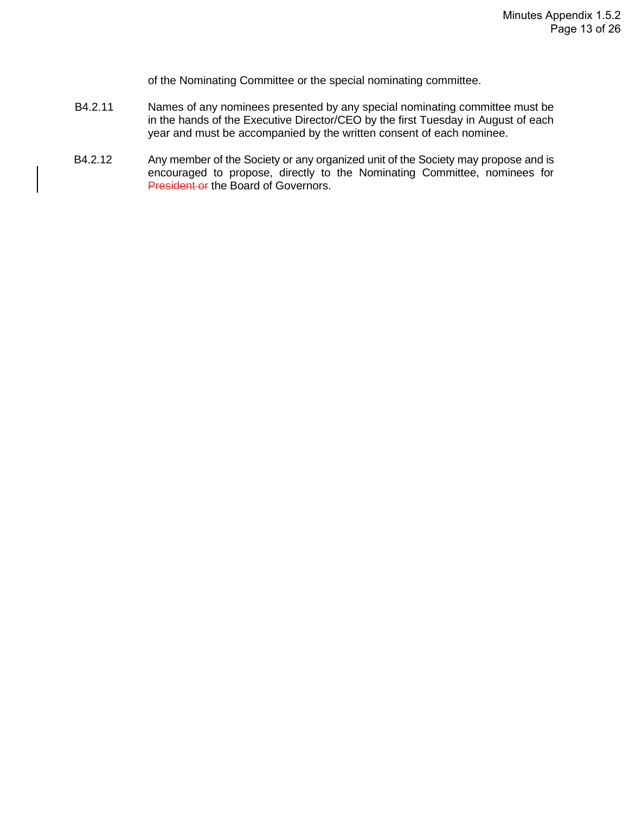of the Nominating Committee or the special nominating committee.

- B4.2.11 Names of any nominees presented by any special nominating committee must be in the hands of the Executive Director/CEO by the first Tuesday in August of each year and must be accompanied by the written consent of each nominee.
- B4.2.12 Any member of the Society or any organized unit of the Society may propose and is encouraged to propose, directly to the Nominating Committee, nominees for President or the Board of Governors.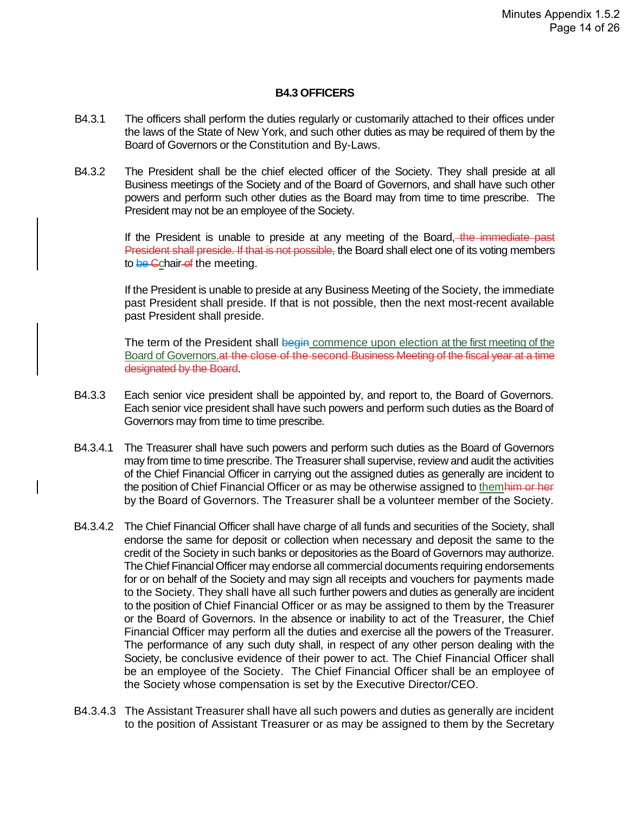#### **B4.3 OFFICERS**

- B4.3.1 The officers shall perform the duties regularly or customarily attached to their offices under the laws of the State of New York, and such other duties as may be required of them by the Board of Governors or the Constitution and By-Laws.
- B4.3.2 The President shall be the chief elected officer of the Society. They shall preside at all Business meetings of the Society and of the Board of Governors, and shall have such other powers and perform such other duties as the Board may from time to time prescribe. The President may not be an employee of the Society.

If the President is unable to preside at any meeting of the Board, the immediate past President shall preside. If that is not possible, the Board shall elect one of its voting members to be Cchair-of the meeting.

If the President is unable to preside at any Business Meeting of the Society, the immediate past President shall preside. If that is not possible, then the next most-recent available past President shall preside.

The term of the President shall begin commence upon election at the first meeting of the Board of Governors. at the close of the second Business Meeting of the fiscal year at a time designated by the Board.

- B4.3.3 Each senior vice president shall be appointed by, and report to, the Board of Governors. Each senior vice president shall have such powers and perform such duties as the Board of Governors may from time to time prescribe.
- B4.3.4.1 The Treasurer shall have such powers and perform such duties as the Board of Governors may from time to time prescribe. The Treasurer shall supervise, review and audit the activities of the Chief Financial Officer in carrying out the assigned duties as generally are incident to the position of Chief Financial Officer or as may be otherwise assigned to themhim or her by the Board of Governors. The Treasurer shall be a volunteer member of the Society.
- B4.3.4.2 The Chief Financial Officer shall have charge of all funds and securities of the Society, shall endorse the same for deposit or collection when necessary and deposit the same to the credit of the Society in such banks or depositories as the Board of Governors may authorize. The Chief Financial Officer may endorse all commercial documents requiring endorsements for or on behalf of the Society and may sign all receipts and vouchers for payments made to the Society. They shall have all such further powers and duties as generally are incident to the position of Chief Financial Officer or as may be assigned to them by the Treasurer or the Board of Governors. In the absence or inability to act of the Treasurer, the Chief Financial Officer may perform all the duties and exercise all the powers of the Treasurer. The performance of any such duty shall, in respect of any other person dealing with the Society, be conclusive evidence of their power to act. The Chief Financial Officer shall be an employee of the Society. The Chief Financial Officer shall be an employee of the Society whose compensation is set by the Executive Director/CEO.
- B4.3.4.3 The Assistant Treasurer shall have all such powers and duties as generally are incident to the position of Assistant Treasurer or as may be assigned to them by the Secretary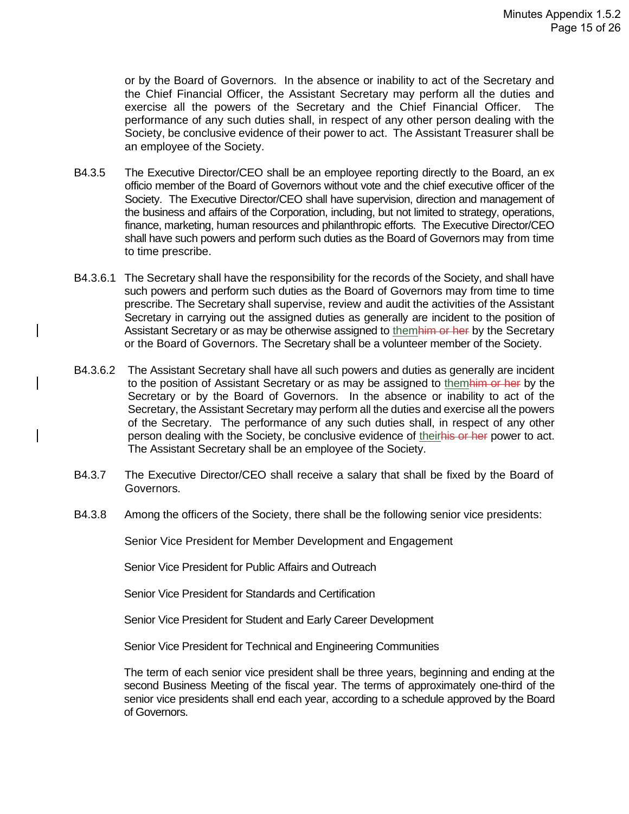or by the Board of Governors. In the absence or inability to act of the Secretary and the Chief Financial Officer, the Assistant Secretary may perform all the duties and exercise all the powers of the Secretary and the Chief Financial Officer. The performance of any such duties shall, in respect of any other person dealing with the Society, be conclusive evidence of their power to act. The Assistant Treasurer shall be an employee of the Society.

- B4.3.5 The Executive Director/CEO shall be an employee reporting directly to the Board, an ex officio member of the Board of Governors without vote and the chief executive officer of the Society. The Executive Director/CEO shall have supervision, direction and management of the business and affairs of the Corporation, including, but not limited to strategy, operations, finance, marketing, human resources and philanthropic efforts. The Executive Director/CEO shall have such powers and perform such duties as the Board of Governors may from time to time prescribe.
- B4.3.6.1 The Secretary shall have the responsibility for the records of the Society, and shall have such powers and perform such duties as the Board of Governors may from time to time prescribe. The Secretary shall supervise, review and audit the activities of the Assistant Secretary in carrying out the assigned duties as generally are incident to the position of Assistant Secretary or as may be otherwise assigned to themhim or her by the Secretary or the Board of Governors. The Secretary shall be a volunteer member of the Society.
- B4.3.6.2 The Assistant Secretary shall have all such powers and duties as generally are incident to the position of Assistant Secretary or as may be assigned to themhim or her by the Secretary or by the Board of Governors. In the absence or inability to act of the Secretary, the Assistant Secretary may perform all the duties and exercise all the powers of the Secretary. The performance of any such duties shall, in respect of any other person dealing with the Society, be conclusive evidence of theirhis or her power to act. The Assistant Secretary shall be an employee of the Society.
- B4.3.7 The Executive Director/CEO shall receive a salary that shall be fixed by the Board of Governors.
- B4.3.8 Among the officers of the Society, there shall be the following senior vice presidents:

Senior Vice President for Member Development and Engagement

Senior Vice President for Public Affairs and Outreach

Senior Vice President for Standards and Certification

Senior Vice President for Student and Early Career Development

Senior Vice President for Technical and Engineering Communities

The term of each senior vice president shall be three years, beginning and ending at the second Business Meeting of the fiscal year. The terms of approximately one-third of the senior vice presidents shall end each year, according to a schedule approved by the Board of Governors.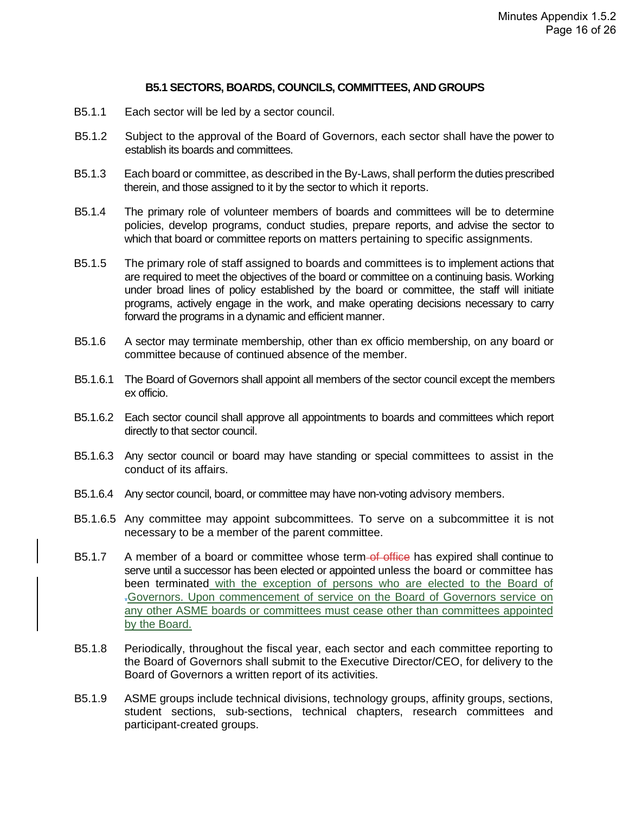#### **B5.1 SECTORS, BOARDS, COUNCILS, COMMITTEES, AND GROUPS**

- B5.1.1 Each sector will be led by a sector council.
- B5.1.2 Subject to the approval of the Board of Governors, each sector shall have the power to establish its boards and committees.
- B5.1.3 Each board or committee, as described in the By-Laws, shall perform the duties prescribed therein, and those assigned to it by the sector to which it reports.
- B5.1.4 The primary role of volunteer members of boards and committees will be to determine policies, develop programs, conduct studies, prepare reports, and advise the sector to which that board or committee reports on matters pertaining to specific assignments.
- B5.1.5 The primary role of staff assigned to boards and committees is to implement actions that are required to meet the objectives of the board or committee on a continuing basis. Working under broad lines of policy established by the board or committee, the staff will initiate programs, actively engage in the work, and make operating decisions necessary to carry forward the programs in a dynamic and efficient manner.
- B5.1.6 A sector may terminate membership, other than ex officio membership, on any board or committee because of continued absence of the member.
- B5.1.6.1 The Board of Governors shall appoint all members of the sector council except the members ex officio.
- B5.1.6.2 Each sector council shall approve all appointments to boards and committees which report directly to that sector council.
- B5.1.6.3 Any sector council or board may have standing or special committees to assist in the conduct of its affairs.
- B5.1.6.4 Any sector council, board, or committee may have non-voting advisory members.
- B5.1.6.5 Any committee may appoint subcommittees. To serve on a subcommittee it is not necessary to be a member of the parent committee.
- B5.1.7 A member of a board or committee whose term-of office has expired shall continue to serve until a successor has been elected or appointed unless the board or committee has been terminated with the exception of persons who are elected to the Board of .Governors. Upon commencement of service on the Board of Governors service on any other ASME boards or committees must cease other than committees appointed by the Board.
- B5.1.8 Periodically, throughout the fiscal year, each sector and each committee reporting to the Board of Governors shall submit to the Executive Director/CEO, for delivery to the Board of Governors a written report of its activities.
- B5.1.9 ASME groups include technical divisions, technology groups, affinity groups, sections, student sections, sub-sections, technical chapters, research committees and participant-created groups.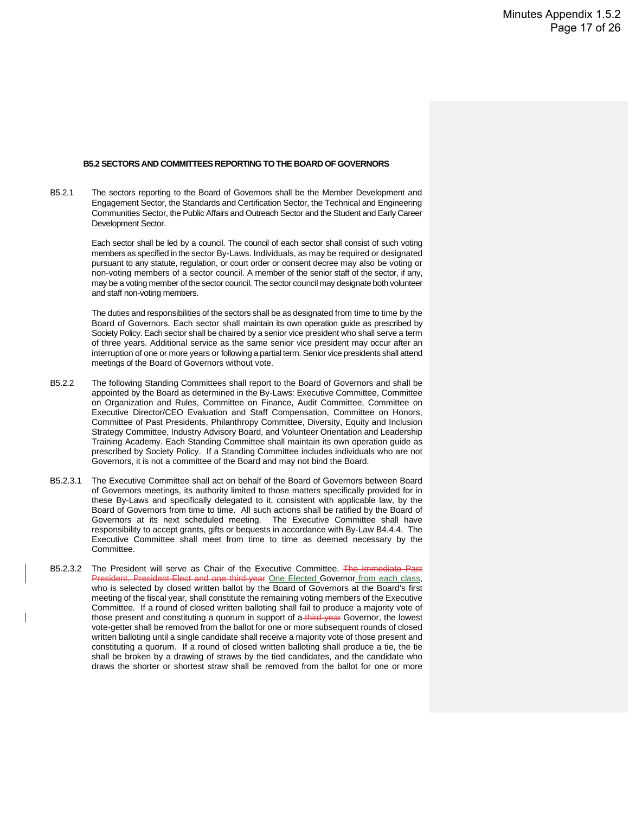#### **B5.2 SECTORS AND COMMITTEES REPORTING TO THE BOARD OF GOVERNORS**

B5.2.1 The sectors reporting to the Board of Governors shall be the Member Development and Engagement Sector, the Standards and Certification Sector, the Technical and Engineering Communities Sector, the Public Affairs and Outreach Sector and the Student and Early Career Development Sector.

> Each sector shall be led by a council. The council of each sector shall consist of such voting members as specified in the sector By-Laws. Individuals, as may be required or designated pursuant to any statute, regulation, or court order or consent decree may also be voting or non-voting members of a sector council. A member of the senior staff of the sector, if any, may be a voting member of the sector council. The sector council may designate both volunteer and staff non-voting members.

> The duties and responsibilities of the sectors shall be as designated from time to time by the Board of Governors. Each sector shall maintain its own operation guide as prescribed by Society Policy. Each sector shall be chaired by a senior vice president who shall serve a term of three years. Additional service as the same senior vice president may occur after an interruption of one or more years or following a partial term. Senior vice presidents shall attend meetings of the Board of Governors without vote.

- B5.2.2 The following Standing Committees shall report to the Board of Governors and shall be appointed by the Board as determined in the By-Laws: Executive Committee, Committee on Organization and Rules, Committee on Finance, Audit Committee, Committee on Executive Director/CEO Evaluation and Staff Compensation, Committee on Honors, Committee of Past Presidents, Philanthropy Committee, Diversity, Equity and Inclusion Strategy Committee, Industry Advisory Board, and Volunteer Orientation and Leadership Training Academy. Each Standing Committee shall maintain its own operation guide as prescribed by Society Policy. If a Standing Committee includes individuals who are not Governors, it is not a committee of the Board and may not bind the Board.
- B5.2.3.1 The Executive Committee shall act on behalf of the Board of Governors between Board of Governors meetings, its authority limited to those matters specifically provided for in these By-Laws and specifically delegated to it, consistent with applicable law, by the Board of Governors from time to time. All such actions shall be ratified by the Board of Governors at its next scheduled meeting. The Executive Committee shall have responsibility to accept grants, gifts or bequests in accordance with By-Law B4.4.4. The Executive Committee shall meet from time to time as deemed necessary by the Committee.
- B5.2.3.2 The President will serve as Chair of the Executive Committee. The Immediate Past President, President-Elect and one third-year One Elected Governor from each class, who is selected by closed written ballot by the Board of Governors at the Board's first meeting of the fiscal year, shall constitute the remaining voting members of the Executive Committee. If a round of closed written balloting shall fail to produce a majority vote of those present and constituting a quorum in support of a third-year Governor, the lowest vote-getter shall be removed from the ballot for one or more subsequent rounds of closed written balloting until a single candidate shall receive a majority vote of those present and constituting a quorum. If a round of closed written balloting shall produce a tie, the tie shall be broken by a drawing of straws by the tied candidates, and the candidate who draws the shorter or shortest straw shall be removed from the ballot for one or more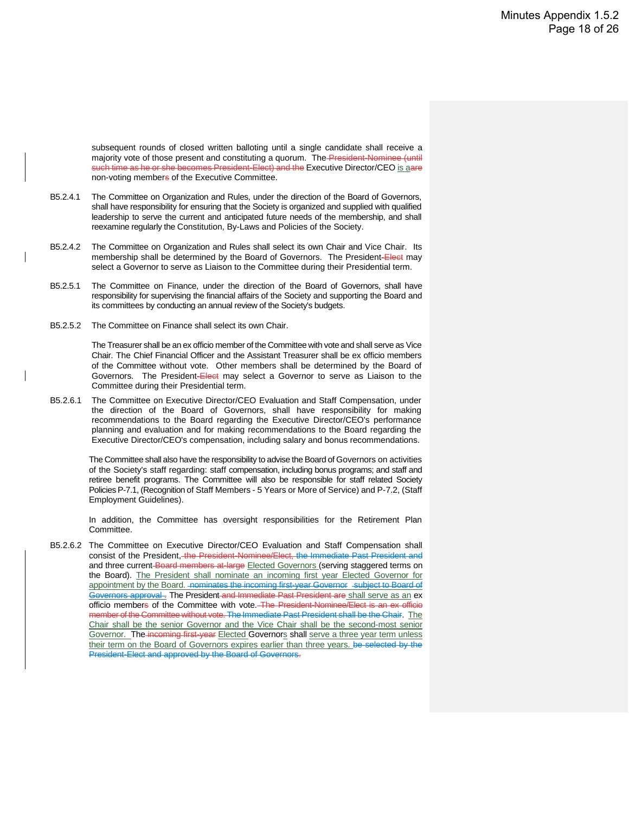subsequent rounds of closed written balloting until a single candidate shall receive a majority vote of those present and constituting a quorum. The President-Nominee (until such time as he or she becomes President-Elect) and the Executive Director/CEO is aare non-voting members of the Executive Committee.

- B5.2.4.1 The Committee on Organization and Rules, under the direction of the Board of Governors, shall have responsibility for ensuring that the Society is organized and supplied with qualified leadership to serve the current and anticipated future needs of the membership, and shall reexamine regularly the Constitution, By-Laws and Policies of the Society.
- B5.2.4.2 The Committee on Organization and Rules shall select its own Chair and Vice Chair. Its membership shall be determined by the Board of Governors. The President-Elect may select a Governor to serve as Liaison to the Committee during their Presidential term.
- B5.2.5.1 The Committee on Finance, under the direction of the Board of Governors, shall have responsibility for supervising the financial affairs of the Society and supporting the Board and its committees by conducting an annual review of the Society's budgets.
- B5.2.5.2 The Committee on Finance shall select its own Chair.

The Treasurer shall be an ex officio member of the Committee with vote and shall serve as Vice Chair. The Chief Financial Officer and the Assistant Treasurer shall be ex officio members of the Committee without vote. Other members shall be determined by the Board of Governors. The President-Elect may select a Governor to serve as Liaison to the Committee during their Presidential term.

B5.2.6.1 The Committee on Executive Director/CEO Evaluation and Staff Compensation, under the direction of the Board of Governors, shall have responsibility for making recommendations to the Board regarding the Executive Director/CEO's performance planning and evaluation and for making recommendations to the Board regarding the Executive Director/CEO's compensation, including salary and bonus recommendations.

> The Committee shall also have the responsibility to advise the Board of Governors on activities of the Society's staff regarding: staff compensation, including bonus programs; and staff and retiree benefit programs. The Committee will also be responsible for staff related Society Policies P-7.1, (Recognition of Staff Members - 5 Years or More of Service) and P-7.2, (Staff Employment Guidelines).

> In addition, the Committee has oversight responsibilities for the Retirement Plan Committee.

B5.2.6.2 The Committee on Executive Director/CEO Evaluation and Staff Compensation shall consist of the President, the President-Nominee/Elect, the Immediate Past President and and three current-Board members at-large Elected Governors (serving staggered terms on the Board). The President shall nominate an incoming first year Elected Governor for appointment by the Board. - nominates the incoming first-year Governor - subject to Board of Governors approval. The President and Immediate Past President are shall serve as an ex officio members of the Committee with vote. The President-Nominee/Elect is an ex officio the Committee without vote. The Immediate Past President shall be the Chair. The Chair shall be the senior Governor and the Vice Chair shall be the second-most senior Governor. The incoming first-year Elected Governors shall serve a three year term unless their term on the Board of Governors expires earlier than three years. be selected by the President-Elect and approved by the Board of Governors.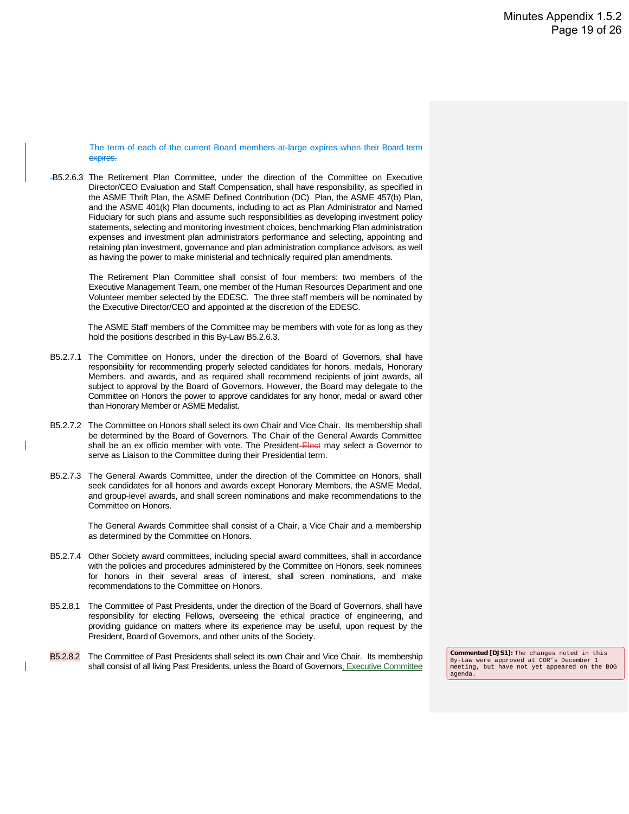The term of each of the current Board members at-large expires when their Board term expires.

B5.2.6.3 The Retirement Plan Committee, under the direction of the Committee on Executive Director/CEO Evaluation and Staff Compensation, shall have responsibility, as specified in the ASME Thrift Plan, the ASME Defined Contribution (DC) Plan, the ASME 457(b) Plan, and the ASME 401(k) Plan documents, including to act as Plan Administrator and Named Fiduciary for such plans and assume such responsibilities as developing investment policy statements, selecting and monitoring investment choices, benchmarking Plan administration expenses and investment plan administrators performance and selecting, appointing and retaining plan investment, governance and plan administration compliance advisors, as well as having the power to make ministerial and technically required plan amendments.

> The Retirement Plan Committee shall consist of four members: two members of the Executive Management Team, one member of the Human Resources Department and one Volunteer member selected by the EDESC. The three staff members will be nominated by the Executive Director/CEO and appointed at the discretion of the EDESC.

> The ASME Staff members of the Committee may be members with vote for as long as they hold the positions described in this By-Law B5.2.6.3.

- B5.2.7.1 The Committee on Honors, under the direction of the Board of Governors, shall have responsibility for recommending properly selected candidates for honors, medals, Honorary Members, and awards, and as required shall recommend recipients of joint awards, all subject to approval by the Board of Governors. However, the Board may delegate to the Committee on Honors the power to approve candidates for any honor, medal or award other than Honorary Member or ASME Medalist.
- B5.2.7.2 The Committee on Honors shall select its own Chair and Vice Chair. Its membership shall be determined by the Board of Governors. The Chair of the General Awards Committee shall be an ex officio member with vote. The President-Elect may select a Governor to serve as Liaison to the Committee during their Presidential term.
- B5.2.7.3 The General Awards Committee, under the direction of the Committee on Honors, shall seek candidates for all honors and awards except Honorary Members, the ASME Medal, and group-level awards, and shall screen nominations and make recommendations to the Committee on Honors.

The General Awards Committee shall consist of a Chair, a Vice Chair and a membership as determined by the Committee on Honors.

- B5.2.7.4 Other Society award committees, including special award committees, shall in accordance with the policies and procedures administered by the Committee on Honors, seek nominees for honors in their several areas of interest, shall screen nominations, and make recommendations to the Committee on Honors.
- B5.2.8.1 The Committee of Past Presidents, under the direction of the Board of Governors, shall have responsibility for electing Fellows, overseeing the ethical practice of engineering, and providing guidance on matters where its experience may be useful, upon request by the President, Board of Governors, and other units of the Society.
- B5.2.8.2 The Committee of Past Presidents shall select its own Chair and Vice Chair. Its membership shall consist of all living Past Presidents, unless the Board of Governors, Executive Committee

**Commented [DJS1]:** The changes noted in this By-Law were approved at COR's December 1 meeting, but have not yet appeared on the BOG agenda.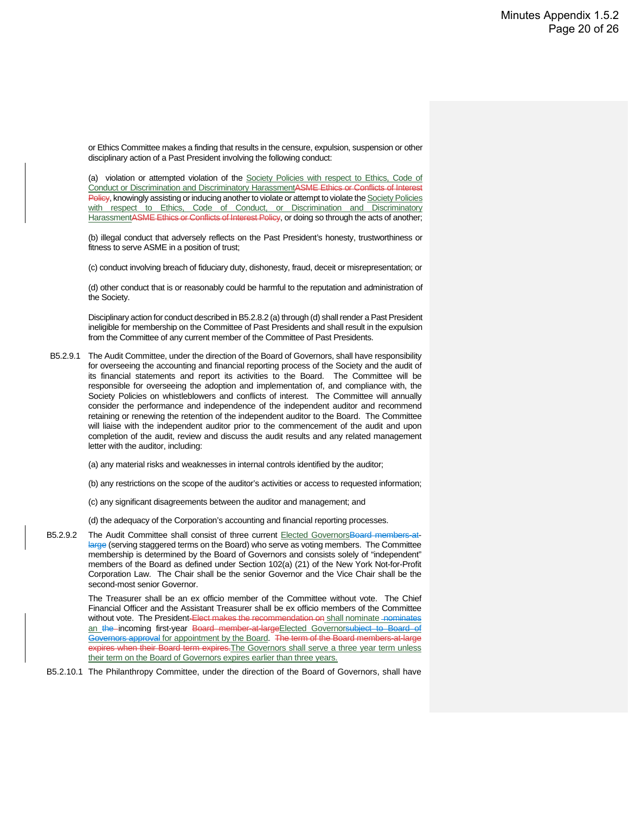or Ethics Committee makes a finding that results in the censure, expulsion, suspension or other disciplinary action of a Past President involving the following conduct:

(a) violation or attempted violation of the Society Policies with respect to Ethics, Code of Conduct or Discrimination and Discriminatory HarassmentASME Ethics or Conflicts of Interest Policy, knowingly assisting or inducing another to violate or attempt to violate the Society Policies with respect to Ethics, Code of Conduct, or Discrimination and Discriminatory HarassmentASME Ethics or Conflicts of Interest Policy, or doing so through the acts of another;

(b) illegal conduct that adversely reflects on the Past President's honesty, trustworthiness or fitness to serve ASME in a position of trust;

(c) conduct involving breach of fiduciary duty, dishonesty, fraud, deceit or misrepresentation; or

(d) other conduct that is or reasonably could be harmful to the reputation and administration of the Society.

Disciplinary action for conduct described in B5.2.8.2 (a) through (d) shall render a Past President ineligible for membership on the Committee of Past Presidents and shall result in the expulsion from the Committee of any current member of the Committee of Past Presidents.

- B5.2.9.1 The Audit Committee, under the direction of the Board of Governors, shall have responsibility for overseeing the accounting and financial reporting process of the Society and the audit of its financial statements and report its activities to the Board. The Committee will be responsible for overseeing the adoption and implementation of, and compliance with, the Society Policies on whistleblowers and conflicts of interest. The Committee will annually consider the performance and independence of the independent auditor and recommend retaining or renewing the retention of the independent auditor to the Board. The Committee will liaise with the independent auditor prior to the commencement of the audit and upon completion of the audit, review and discuss the audit results and any related management letter with the auditor, including:
	- (a) any material risks and weaknesses in internal controls identified by the auditor;
	- (b) any restrictions on the scope of the auditor's activities or access to requested information;
	- (c) any significant disagreements between the auditor and management; and
	- (d) the adequacy of the Corporation's accounting and financial reporting processes.
- B5.2.9.2 The Audit Committee shall consist of three current Elected GovernorsBoard members-atlarge (serving staggered terms on the Board) who serve as voting members. The Committee membership is determined by the Board of Governors and consists solely of "independent" members of the Board as defined under Section 102(a) (21) of the New York Not-for-Profit Corporation Law. The Chair shall be the senior Governor and the Vice Chair shall be the second-most senior Governor.

The Treasurer shall be an ex officio member of the Committee without vote. The Chief Financial Officer and the Assistant Treasurer shall be ex officio members of the Committee without vote. The President-Elect makes the recommendation on shall nominate nominates an the incoming first-year Board member at large Elected Governorsubject to Board of Governors approval for appointment by the Board. The term of the Board members-at-large expires when their Board term expires. The Governors shall serve a three year term unless their term on the Board of Governors expires earlier than three years.

B5.2.10.1 The Philanthropy Committee, under the direction of the Board of Governors, shall have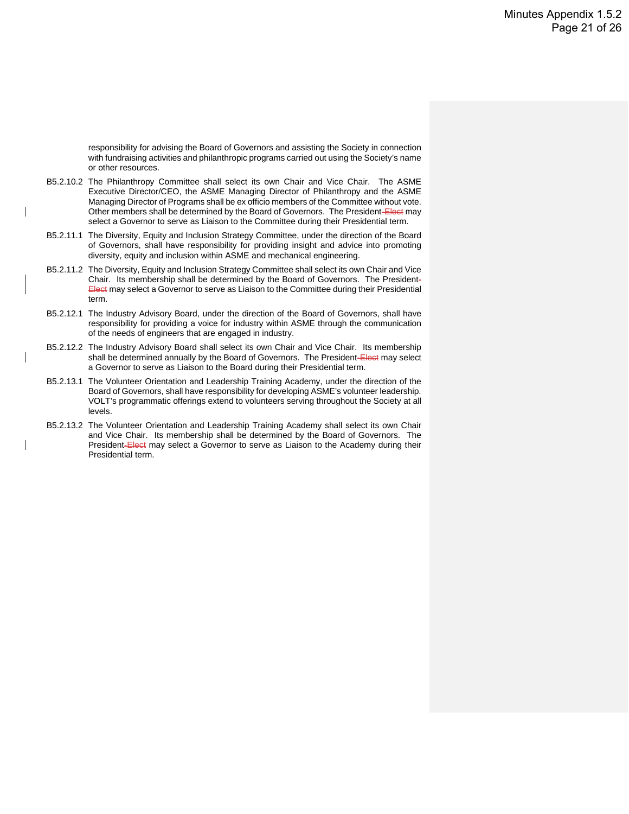responsibility for advising the Board of Governors and assisting the Society in connection with fundraising activities and philanthropic programs carried out using the Society's name or other resources.

- B5.2.10.2 The Philanthropy Committee shall select its own Chair and Vice Chair. The ASME Executive Director/CEO, the ASME Managing Director of Philanthropy and the ASME Managing Director of Programs shall be ex officio members of the Committee without vote. Other members shall be determined by the Board of Governors. The President-Elect may select a Governor to serve as Liaison to the Committee during their Presidential term.
- B5.2.11.1 The Diversity, Equity and Inclusion Strategy Committee, under the direction of the Board of Governors, shall have responsibility for providing insight and advice into promoting diversity, equity and inclusion within ASME and mechanical engineering.
- B5.2.11.2 The Diversity, Equity and Inclusion Strategy Committee shall select its own Chair and Vice Chair. Its membership shall be determined by the Board of Governors. The President-Elect may select a Governor to serve as Liaison to the Committee during their Presidential term.
- B5.2.12.1 The Industry Advisory Board, under the direction of the Board of Governors, shall have responsibility for providing a voice for industry within ASME through the communication of the needs of engineers that are engaged in industry.
- B5.2.12.2 The Industry Advisory Board shall select its own Chair and Vice Chair. Its membership shall be determined annually by the Board of Governors. The President-Elect may select a Governor to serve as Liaison to the Board during their Presidential term.
- B5.2.13.1 The Volunteer Orientation and Leadership Training Academy, under the direction of the Board of Governors, shall have responsibility for developing ASME's volunteer leadership. VOLT's programmatic offerings extend to volunteers serving throughout the Society at all levels.
- B5.2.13.2 The Volunteer Orientation and Leadership Training Academy shall select its own Chair and Vice Chair. Its membership shall be determined by the Board of Governors. The President-Elect may select a Governor to serve as Liaison to the Academy during their Presidential term.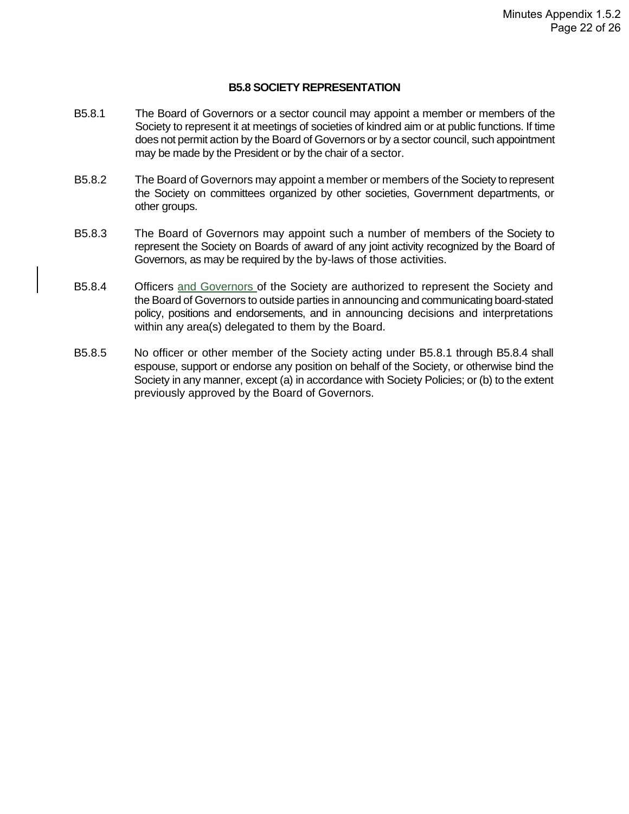#### **B5.8 SOCIETY REPRESENTATION**

- B5.8.1 The Board of Governors or a sector council may appoint a member or members of the Society to represent it at meetings of societies of kindred aim or at public functions. If time does not permit action by the Board of Governors or by a sector council, such appointment may be made by the President or by the chair of a sector.
- B5.8.2 The Board of Governors may appoint a member or members of the Society to represent the Society on committees organized by other societies, Government departments, or other groups.
- B5.8.3 The Board of Governors may appoint such a number of members of the Society to represent the Society on Boards of award of any joint activity recognized by the Board of Governors, as may be required by the by-laws of those activities.
- B5.8.4 Officers and Governors of the Society are authorized to represent the Society and the Board of Governors to outside parties in announcing and communicating board-stated policy, positions and endorsements, and in announcing decisions and interpretations within any area(s) delegated to them by the Board.
- B5.8.5 No officer or other member of the Society acting under B5.8.1 through B5.8.4 shall espouse, support or endorse any position on behalf of the Society, or otherwise bind the Society in any manner, except (a) in accordance with Society Policies; or (b) to the extent previously approved by the Board of Governors.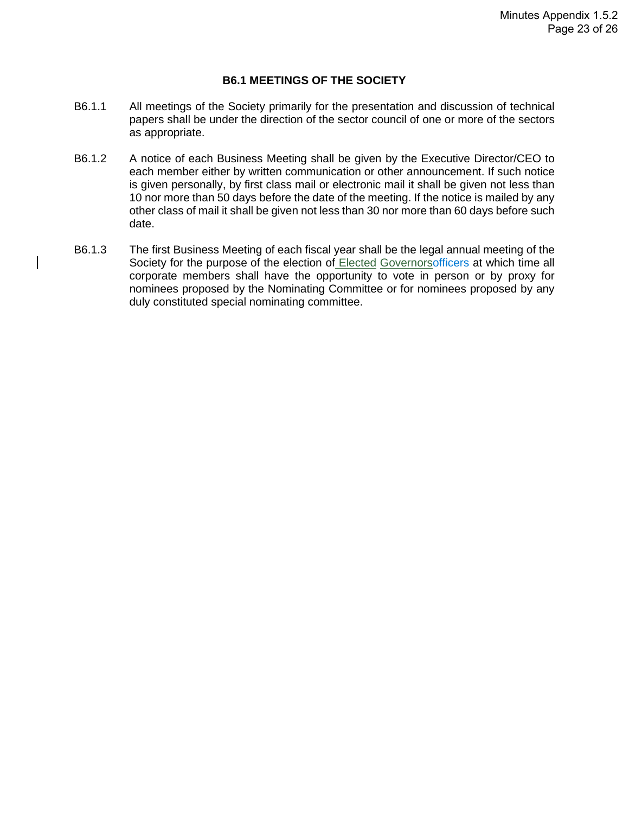#### **B6.1 MEETINGS OF THE SOCIETY**

- B6.1.1 All meetings of the Society primarily for the presentation and discussion of technical papers shall be under the direction of the sector council of one or more of the sectors as appropriate.
- B6.1.2 A notice of each Business Meeting shall be given by the Executive Director/CEO to each member either by written communication or other announcement. If such notice is given personally, by first class mail or electronic mail it shall be given not less than 10 nor more than 50 days before the date of the meeting. If the notice is mailed by any other class of mail it shall be given not less than 30 nor more than 60 days before such date.
- B6.1.3 The first Business Meeting of each fiscal year shall be the legal annual meeting of the Society for the purpose of the election of Elected Governorsofficers at which time all corporate members shall have the opportunity to vote in person or by proxy for nominees proposed by the Nominating Committee or for nominees proposed by any duly constituted special nominating committee.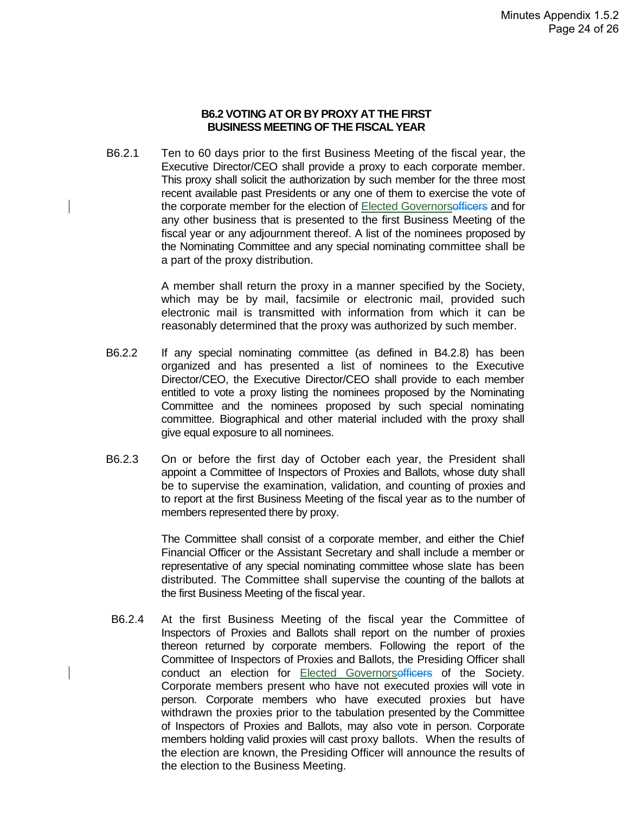#### **B6.2 VOTING AT OR BY PROXY AT THE FIRST BUSINESS MEETING OF THE FISCAL YEAR**

B6.2.1 Ten to 60 days prior to the first Business Meeting of the fiscal year, the Executive Director/CEO shall provide a proxy to each corporate member. This proxy shall solicit the authorization by such member for the three most recent available past Presidents or any one of them to exercise the vote of the corporate member for the election of Elected Governorsofficers and for any other business that is presented to the first Business Meeting of the fiscal year or any adjournment thereof. A list of the nominees proposed by the Nominating Committee and any special nominating committee shall be a part of the proxy distribution.

> A member shall return the proxy in a manner specified by the Society, which may be by mail, facsimile or electronic mail, provided such electronic mail is transmitted with information from which it can be reasonably determined that the proxy was authorized by such member.

- B6.2.2 If any special nominating committee (as defined in B4.2.8) has been organized and has presented a list of nominees to the Executive Director/CEO, the Executive Director/CEO shall provide to each member entitled to vote a proxy listing the nominees proposed by the Nominating Committee and the nominees proposed by such special nominating committee. Biographical and other material included with the proxy shall give equal exposure to all nominees.
- B6.2.3 On or before the first day of October each year, the President shall appoint a Committee of Inspectors of Proxies and Ballots, whose duty shall be to supervise the examination, validation, and counting of proxies and to report at the first Business Meeting of the fiscal year as to the number of members represented there by proxy.

The Committee shall consist of a corporate member, and either the Chief Financial Officer or the Assistant Secretary and shall include a member or representative of any special nominating committee whose slate has been distributed. The Committee shall supervise the counting of the ballots at the first Business Meeting of the fiscal year.

B6.2.4 At the first Business Meeting of the fiscal year the Committee of Inspectors of Proxies and Ballots shall report on the number of proxies thereon returned by corporate members. Following the report of the Committee of Inspectors of Proxies and Ballots, the Presiding Officer shall conduct an election for Elected Governorsofficers of the Society. Corporate members present who have not executed proxies will vote in person. Corporate members who have executed proxies but have withdrawn the proxies prior to the tabulation presented by the Committee of Inspectors of Proxies and Ballots, may also vote in person. Corporate members holding valid proxies will cast proxy ballots. When the results of the election are known, the Presiding Officer will announce the results of the election to the Business Meeting.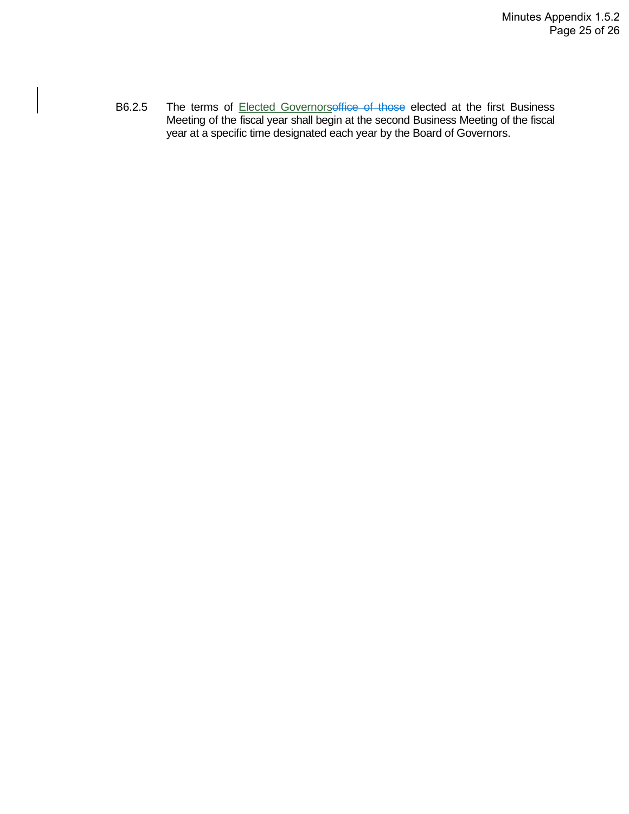B6.2.5 The terms of **Elected Governorsoffice of those elected** at the first Business Meeting of the fiscal year shall begin at the second Business Meeting of the fiscal year at a specific time designated each year by the Board of Governors.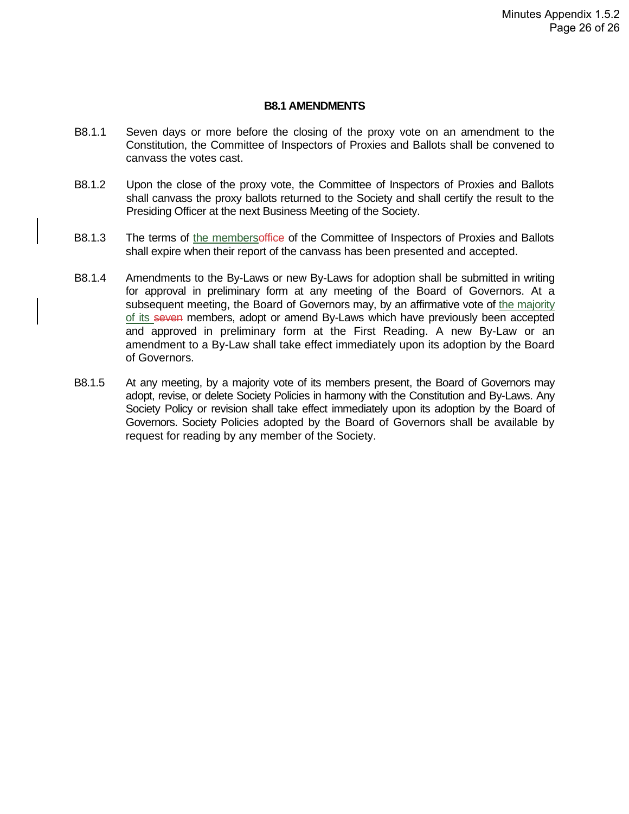#### **B8.1 AMENDMENTS**

- B8.1.1 Seven days or more before the closing of the proxy vote on an amendment to the Constitution, the Committee of Inspectors of Proxies and Ballots shall be convened to canvass the votes cast.
- B8.1.2 Upon the close of the proxy vote, the Committee of Inspectors of Proxies and Ballots shall canvass the proxy ballots returned to the Society and shall certify the result to the Presiding Officer at the next Business Meeting of the Society.
- B8.1.3 The terms of the membersoffice of the Committee of Inspectors of Proxies and Ballots shall expire when their report of the canvass has been presented and accepted.
- B8.1.4 Amendments to the By-Laws or new By-Laws for adoption shall be submitted in writing for approval in preliminary form at any meeting of the Board of Governors. At a subsequent meeting, the Board of Governors may, by an affirmative vote of the majority of its seven members, adopt or amend By-Laws which have previously been accepted and approved in preliminary form at the First Reading. A new By-Law or an amendment to a By-Law shall take effect immediately upon its adoption by the Board of Governors.
- B8.1.5 At any meeting, by a majority vote of its members present, the Board of Governors may adopt, revise, or delete Society Policies in harmony with the Constitution and By-Laws. Any Society Policy or revision shall take effect immediately upon its adoption by the Board of Governors. Society Policies adopted by the Board of Governors shall be available by request for reading by any member of the Society.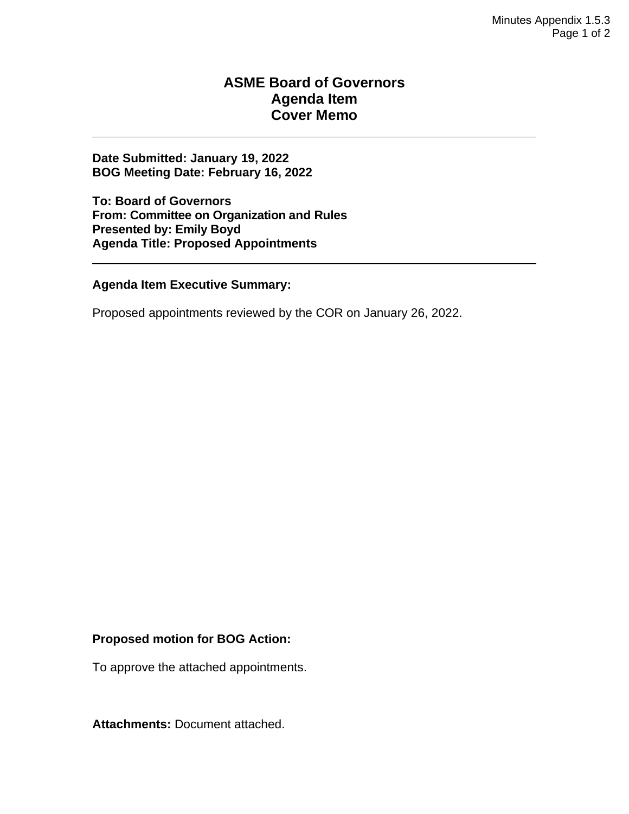#### **ASME Board of Governors Agenda Item Cover Memo**

**Date Submitted: January 19, 2022 BOG Meeting Date: February 16, 2022**

**To: Board of Governors From: Committee on Organization and Rules Presented by: Emily Boyd Agenda Title: Proposed Appointments** 

#### **Agenda Item Executive Summary:**

Proposed appointments reviewed by the COR on January 26, 2022.

#### **Proposed motion for BOG Action:**

To approve the attached appointments.

**Attachments:** Document attached.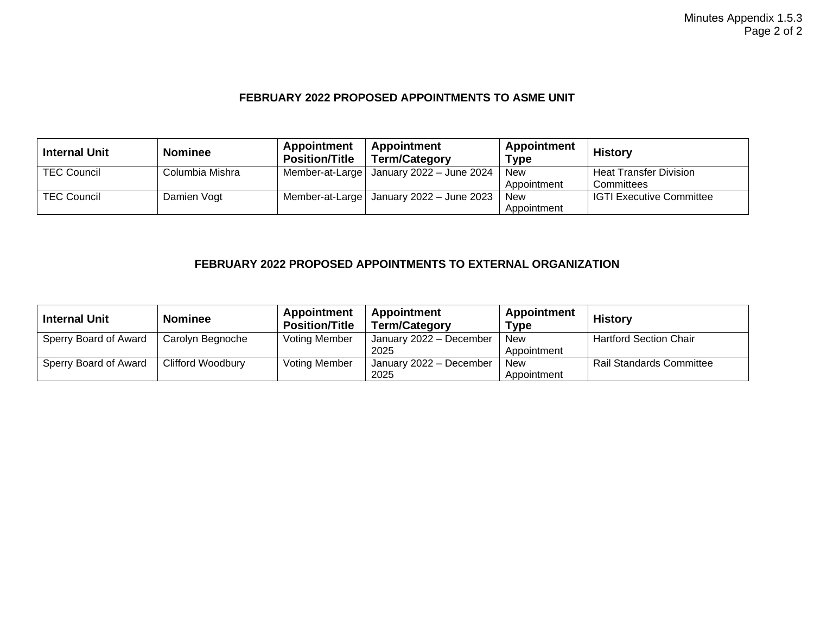#### **FEBRUARY 2022 PROPOSED APPOINTMENTS TO ASME UNIT**

| <b>Internal Unit</b> | <b>Nominee</b>  | Appointment<br><b>Position/Title</b> | Appointment<br><b>Term/Category</b>        | Appointment<br><b>Type</b> | <b>History</b>                  |
|----------------------|-----------------|--------------------------------------|--------------------------------------------|----------------------------|---------------------------------|
| <b>TEC Council</b>   | Columbia Mishra |                                      | Member-at-Large   January 2022 - June 2024 | <b>New</b>                 | <b>Heat Transfer Division</b>   |
|                      |                 |                                      |                                            | Appointment                | Committees                      |
| <b>TEC Council</b>   | Damien Vogt     |                                      | Member-at-Large   January 2022 - June 2023 | <b>New</b>                 | <b>IGTI Executive Committee</b> |
|                      |                 |                                      |                                            | Appointment                |                                 |

#### **FEBRUARY 2022 PROPOSED APPOINTMENTS TO EXTERNAL ORGANIZATION**

| <b>Internal Unit</b>  | <b>Nominee</b>           | <b>Appointment</b><br><b>Position/Title</b> | Appointment<br><b>Term/Category</b> | Appointment<br>Type       | <b>History</b>                  |
|-----------------------|--------------------------|---------------------------------------------|-------------------------------------|---------------------------|---------------------------------|
| Sperry Board of Award | Carolyn Begnoche         | <b>Voting Member</b>                        | January 2022 - December<br>2025     | <b>New</b><br>Appointment | <b>Hartford Section Chair</b>   |
| Sperry Board of Award | <b>Clifford Woodbury</b> | <b>Voting Member</b>                        | January 2022 - December<br>2025     | New<br>Appointment        | <b>Rail Standards Committee</b> |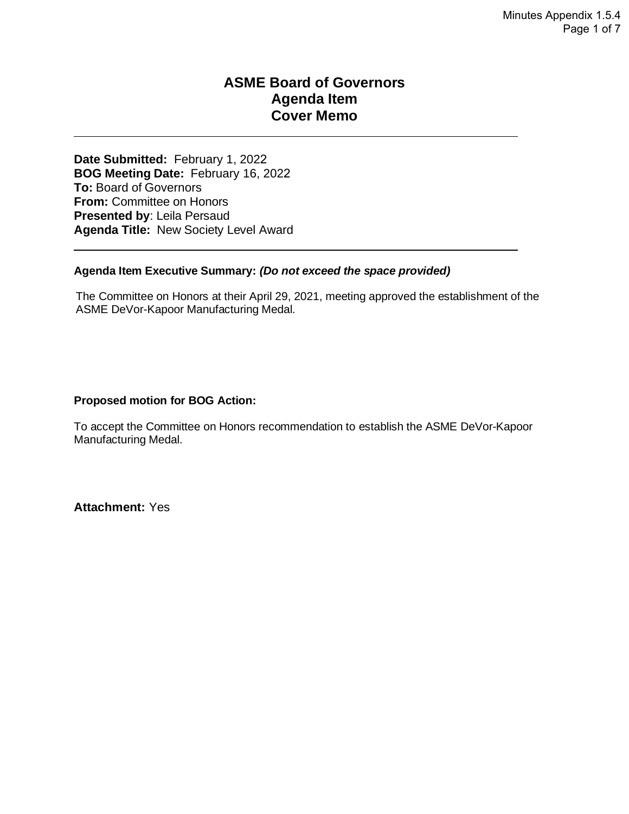#### **ASME Board of Governors Agenda Item Cover Memo**

**Date Submitted:** February 1, 2022 **BOG Meeting Date:** February 16, 2022 **To:** Board of Governors **From:** Committee on Honors **Presented by**: Leila Persaud **Agenda Title:** New Society Level Award

#### **Agenda Item Executive Summary:** *(Do not exceed the space provided)*

The Committee on Honors at their April 29, 2021, meeting approved the establishment of the ASME DeVor-Kapoor Manufacturing Medal.

#### **Proposed motion for BOG Action:**

To accept the Committee on Honors recommendation to establish the ASME DeVor-Kapoor Manufacturing Medal.

**Attachment:** Yes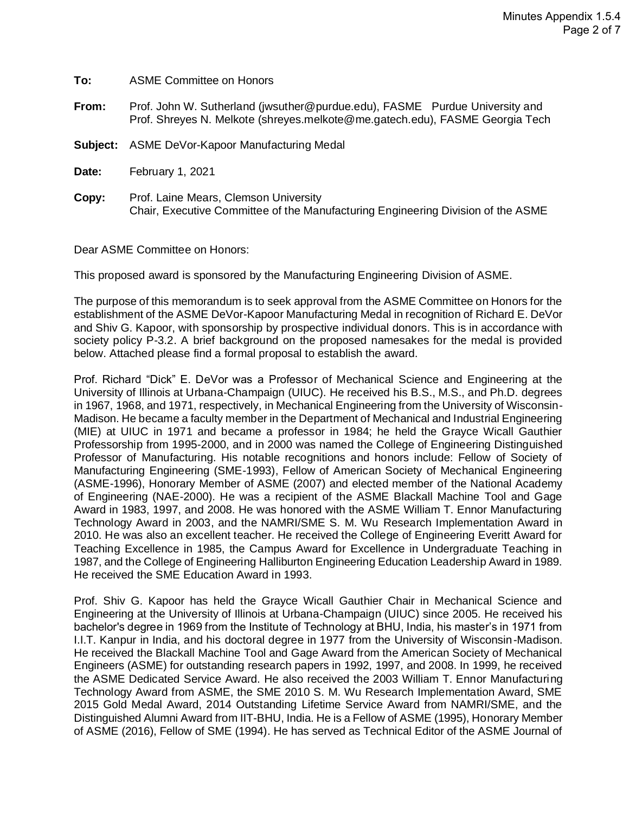| To:      | <b>ASME Committee on Honors</b>                                                                                                                             |
|----------|-------------------------------------------------------------------------------------------------------------------------------------------------------------|
| From:    | Prof. John W. Sutherland (jwsuther@purdue.edu), FASME Purdue University and<br>Prof. Shreyes N. Melkote (shreyes.melkote@me.gatech.edu), FASME Georgia Tech |
| Subject: | ASME DeVor-Kapoor Manufacturing Medal                                                                                                                       |
| Date:    | February 1, 2021                                                                                                                                            |
| Copy:    | Prof. Laine Mears, Clemson University<br>Chair, Executive Committee of the Manufacturing Engineering Division of the ASME                                   |

Dear ASME Committee on Honors:

This proposed award is sponsored by the Manufacturing Engineering Division of ASME.

The purpose of this memorandum is to seek approval from the ASME Committee on Honors for the establishment of the ASME DeVor-Kapoor Manufacturing Medal in recognition of Richard E. DeVor and Shiv G. Kapoor, with sponsorship by prospective individual donors. This is in accordance with society policy P-3.2. A brief background on the proposed namesakes for the medal is provided below. Attached please find a formal proposal to establish the award.

Prof. Richard "Dick" E. DeVor was a Professor of Mechanical Science and Engineering at the University of Illinois at Urbana-Champaign (UIUC). He received his B.S., M.S., and Ph.D. degrees in 1967, 1968, and 1971, respectively, in Mechanical Engineering from the University of Wisconsin-Madison. He became a faculty member in the Department of Mechanical and Industrial Engineering (MIE) at UIUC in 1971 and became a professor in 1984; he held the Grayce Wicall Gauthier Professorship from 1995-2000, and in 2000 was named the College of Engineering Distinguished Professor of Manufacturing. His notable recognitions and honors include: Fellow of Society of Manufacturing Engineering (SME-1993), Fellow of American Society of Mechanical Engineering (ASME-1996), Honorary Member of ASME (2007) and elected member of the National Academy of Engineering (NAE-2000). He was a recipient of the ASME Blackall Machine Tool and Gage Award in 1983, 1997, and 2008. He was honored with the ASME William T. Ennor Manufacturing Technology Award in 2003, and the NAMRI/SME S. M. Wu Research Implementation Award in 2010. He was also an excellent teacher. He received the College of Engineering Everitt Award for Teaching Excellence in 1985, the Campus Award for Excellence in Undergraduate Teaching in 1987, and the College of Engineering Halliburton Engineering Education Leadership Award in 1989. He received the SME Education Award in 1993.

Prof. Shiv G. Kapoor has held the Grayce Wicall Gauthier Chair in Mechanical Science and Engineering at the University of Illinois at Urbana-Champaign (UIUC) since 2005. He received his bachelor's degree in 1969 from the Institute of Technology at BHU, India, his master's in 1971 from I.I.T. Kanpur in India, and his doctoral degree in 1977 from the University of Wisconsin-Madison. He received the Blackall Machine Tool and Gage Award from the American Society of Mechanical Engineers (ASME) for outstanding research papers in 1992, 1997, and 2008. In 1999, he received the ASME Dedicated Service Award. He also received the 2003 William T. Ennor Manufacturing Technology Award from ASME, the SME 2010 S. M. Wu Research Implementation Award, SME 2015 Gold Medal Award, 2014 Outstanding Lifetime Service Award from NAMRI/SME, and the Distinguished Alumni Award from IIT-BHU, India. He is a Fellow of ASME (1995), Honorary Member of ASME (2016), Fellow of SME (1994). He has served as Technical Editor of the ASME Journal of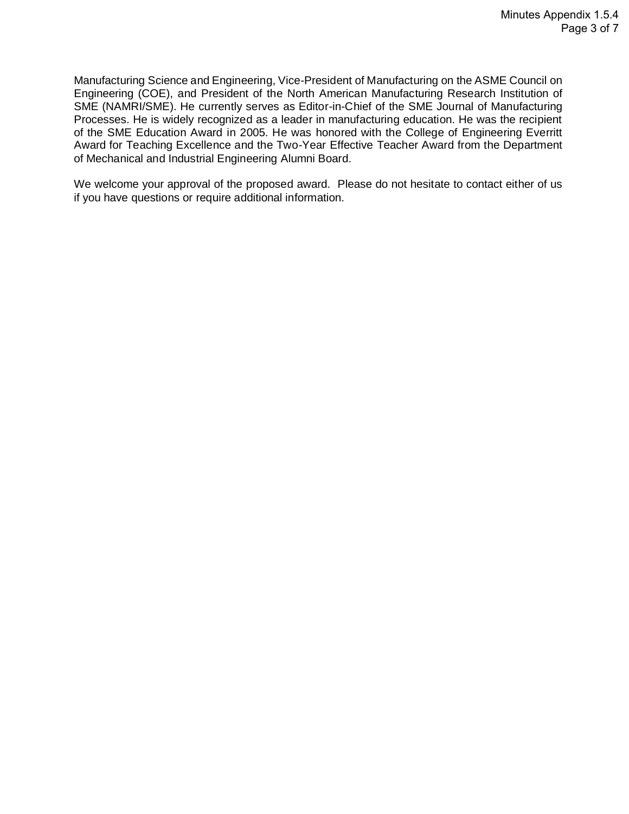Manufacturing Science and Engineering, Vice-President of Manufacturing on the ASME Council on Engineering (COE), and President of the North American Manufacturing Research Institution of SME (NAMRI/SME). He currently serves as Editor-in-Chief of the SME Journal of Manufacturing Processes. He is widely recognized as a leader in manufacturing education. He was the recipient of the SME Education Award in 2005. He was honored with the College of Engineering Everritt Award for Teaching Excellence and the Two-Year Effective Teacher Award from the Department of Mechanical and Industrial Engineering Alumni Board.

We welcome your approval of the proposed award. Please do not hesitate to contact either of us if you have questions or require additional information.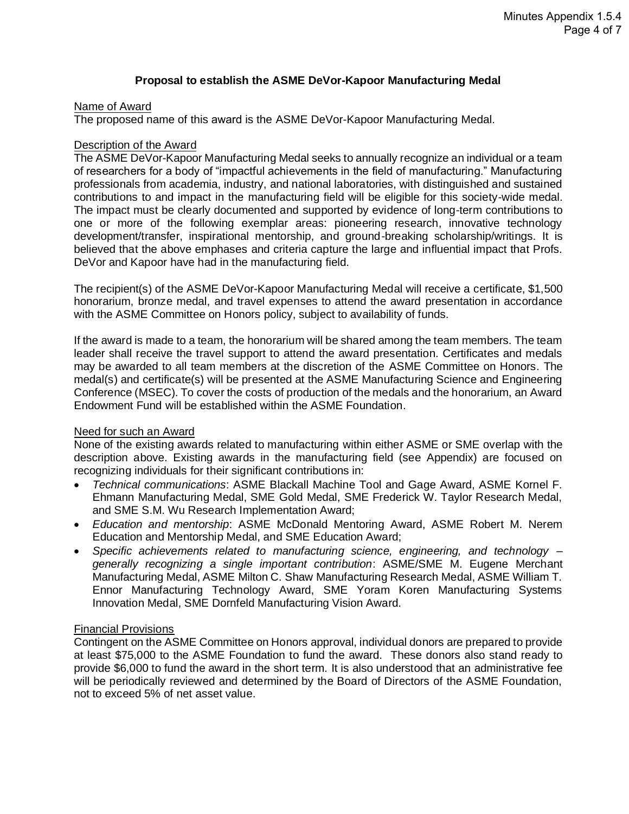#### **Proposal to establish the ASME DeVor-Kapoor Manufacturing Medal**

#### Name of Award

The proposed name of this award is the ASME DeVor-Kapoor Manufacturing Medal.

#### Description of the Award

The ASME DeVor-Kapoor Manufacturing Medal seeks to annually recognize an individual or a team of researchers for a body of "impactful achievements in the field of manufacturing." Manufacturing professionals from academia, industry, and national laboratories, with distinguished and sustained contributions to and impact in the manufacturing field will be eligible for this society-wide medal. The impact must be clearly documented and supported by evidence of long-term contributions to one or more of the following exemplar areas: pioneering research, innovative technology development/transfer, inspirational mentorship, and ground-breaking scholarship/writings. It is believed that the above emphases and criteria capture the large and influential impact that Profs. DeVor and Kapoor have had in the manufacturing field.

The recipient(s) of the ASME DeVor-Kapoor Manufacturing Medal will receive a certificate, \$1,500 honorarium, bronze medal, and travel expenses to attend the award presentation in accordance with the ASME Committee on Honors policy, subject to availability of funds.

If the award is made to a team, the honorarium will be shared among the team members. The team leader shall receive the travel support to attend the award presentation. Certificates and medals may be awarded to all team members at the discretion of the ASME Committee on Honors. The medal(s) and certificate(s) will be presented at the ASME Manufacturing Science and Engineering Conference (MSEC). To cover the costs of production of the medals and the honorarium, an Award Endowment Fund will be established within the ASME Foundation.

#### Need for such an Award

None of the existing awards related to manufacturing within either ASME or SME overlap with the description above. Existing awards in the manufacturing field (see Appendix) are focused on recognizing individuals for their significant contributions in:

- *Technical communications*: ASME Blackall Machine Tool and Gage Award, ASME Kornel F. Ehmann Manufacturing Medal, SME Gold Medal, SME Frederick W. Taylor Research Medal, and SME S.M. Wu Research Implementation Award;
- *Education and mentorship*: ASME McDonald Mentoring Award, ASME Robert M. Nerem Education and Mentorship Medal, and SME Education Award;
- *Specific achievements related to manufacturing science, engineering, and technology – generally recognizing a single important contribution*: ASME/SME M. Eugene Merchant Manufacturing Medal, ASME Milton C. Shaw Manufacturing Research Medal, ASME William T. Ennor Manufacturing Technology Award, SME Yoram Koren Manufacturing Systems Innovation Medal, SME Dornfeld Manufacturing Vision Award.

#### Financial Provisions

Contingent on the ASME Committee on Honors approval, individual donors are prepared to provide at least \$75,000 to the ASME Foundation to fund the award. These donors also stand ready to provide \$6,000 to fund the award in the short term. It is also understood that an administrative fee will be periodically reviewed and determined by the Board of Directors of the ASME Foundation, not to exceed 5% of net asset value.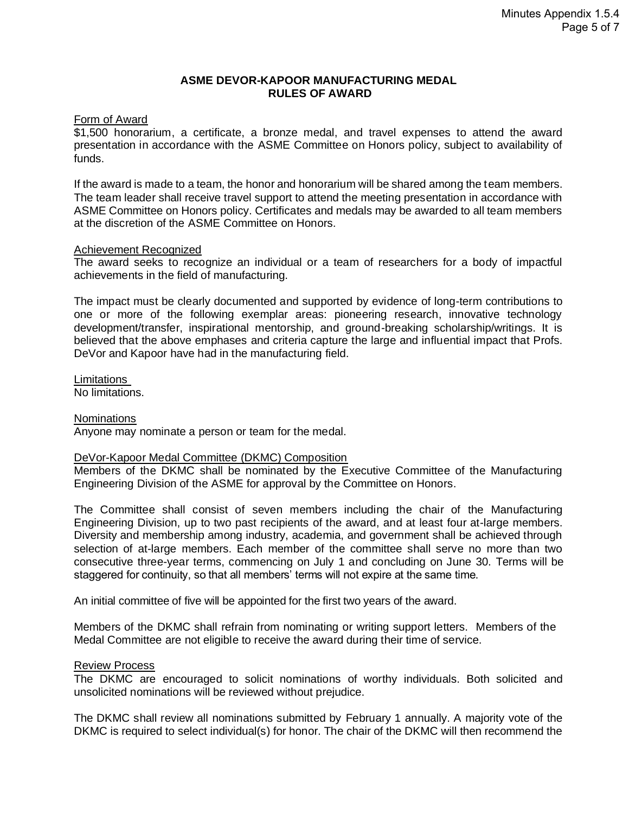#### **ASME DEVOR-KAPOOR MANUFACTURING MEDAL RULES OF AWARD**

#### Form of Award

\$1,500 honorarium, a certificate, a bronze medal, and travel expenses to attend the award presentation in accordance with the ASME Committee on Honors policy, subject to availability of funds.

If the award is made to a team, the honor and honorarium will be shared among the team members. The team leader shall receive travel support to attend the meeting presentation in accordance with ASME Committee on Honors policy. Certificates and medals may be awarded to all team members at the discretion of the ASME Committee on Honors.

#### Achievement Recognized

The award seeks to recognize an individual or a team of researchers for a body of impactful achievements in the field of manufacturing.

The impact must be clearly documented and supported by evidence of long-term contributions to one or more of the following exemplar areas: pioneering research, innovative technology development/transfer, inspirational mentorship, and ground-breaking scholarship/writings. It is believed that the above emphases and criteria capture the large and influential impact that Profs. DeVor and Kapoor have had in the manufacturing field.

Limitations No limitations.

#### **Nominations**

Anyone may nominate a person or team for the medal.

#### DeVor-Kapoor Medal Committee (DKMC) Composition

Members of the DKMC shall be nominated by the Executive Committee of the Manufacturing Engineering Division of the ASME for approval by the Committee on Honors.

The Committee shall consist of seven members including the chair of the Manufacturing Engineering Division, up to two past recipients of the award, and at least four at-large members. Diversity and membership among industry, academia, and government shall be achieved through selection of at-large members. Each member of the committee shall serve no more than two consecutive three-year terms, commencing on July 1 and concluding on June 30. Terms will be staggered for continuity, so that all members' terms will not expire at the same time.

An initial committee of five will be appointed for the first two years of the award.

Members of the DKMC shall refrain from nominating or writing support letters. Members of the Medal Committee are not eligible to receive the award during their time of service.

#### Review Process

The DKMC are encouraged to solicit nominations of worthy individuals. Both solicited and unsolicited nominations will be reviewed without prejudice.

The DKMC shall review all nominations submitted by February 1 annually. A majority vote of the DKMC is required to select individual(s) for honor. The chair of the DKMC will then recommend the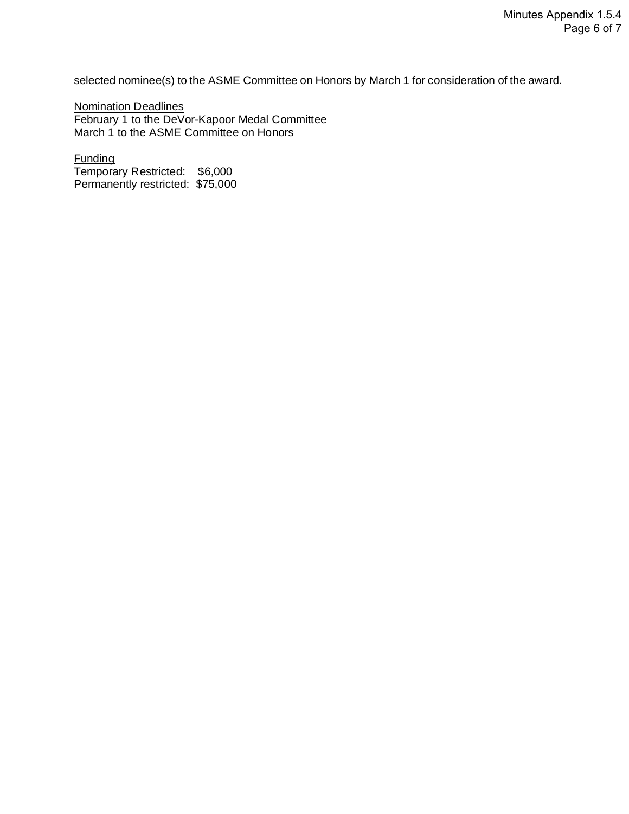selected nominee(s) to the ASME Committee on Honors by March 1 for consideration of the award.

Nomination Deadlines February 1 to the DeVor-Kapoor Medal Committee March 1 to the ASME Committee on Honors

Funding Temporary Restricted: \$6,000 Permanently restricted: \$75,000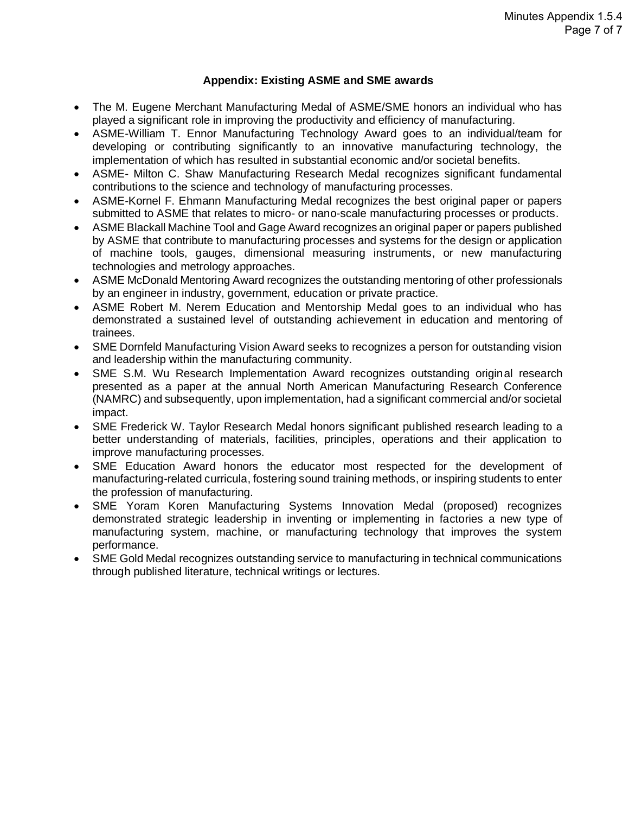#### **Appendix: Existing ASME and SME awards**

- The M. Eugene Merchant Manufacturing Medal of ASME/SME honors an individual who has played a significant role in improving the productivity and efficiency of manufacturing.
- ASME-William T. Ennor Manufacturing Technology Award goes to an individual/team for developing or contributing significantly to an innovative manufacturing technology, the implementation of which has resulted in substantial economic and/or societal benefits.
- ASME- Milton C. Shaw Manufacturing Research Medal recognizes significant fundamental contributions to the science and technology of manufacturing processes.
- ASME-Kornel F. Ehmann Manufacturing Medal recognizes the best original paper or papers submitted to ASME that relates to micro- or nano-scale manufacturing processes or products.
- ASME Blackall Machine Tool and Gage Award recognizes an original paper or papers published by ASME that contribute to manufacturing processes and systems for the design or application of machine tools, gauges, dimensional measuring instruments, or new manufacturing technologies and metrology approaches.
- ASME McDonald Mentoring Award recognizes the outstanding mentoring of other professionals by an engineer in industry, government, education or private practice.
- ASME Robert M. Nerem Education and Mentorship Medal goes to an individual who has demonstrated a sustained level of outstanding achievement in education and mentoring of trainees.
- SME Dornfeld Manufacturing Vision Award seeks to recognizes a person for outstanding vision and leadership within the manufacturing community.
- SME S.M. Wu Research Implementation Award recognizes outstanding original research presented as a paper at the annual North American Manufacturing Research Conference (NAMRC) and subsequently, upon implementation, had a significant commercial and/or societal impact.
- SME Frederick W. Taylor Research Medal honors significant published research leading to a better understanding of materials, facilities, principles, operations and their application to improve manufacturing processes.
- SME Education Award honors the educator most respected for the development of manufacturing-related curricula, fostering sound training methods, or inspiring students to enter the profession of manufacturing.
- SME Yoram Koren Manufacturing Systems Innovation Medal (proposed) recognizes demonstrated strategic leadership in inventing or implementing in factories a new type of manufacturing system, machine, or manufacturing technology that improves the system performance.
- SME Gold Medal recognizes outstanding service to manufacturing in technical communications through published literature, technical writings or lectures.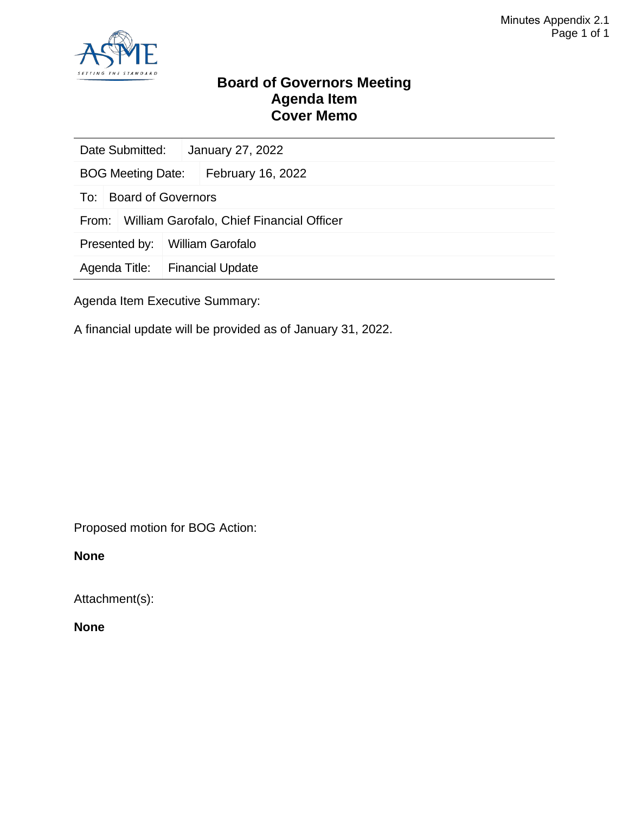

#### **Board of Governors Meeting Agenda Item Cover Memo**

| Date Submitted:                                    |                           |  | January 27, 2022        |  |  |
|----------------------------------------------------|---------------------------|--|-------------------------|--|--|
| <b>BOG Meeting Date:</b>                           |                           |  | February 16, 2022       |  |  |
| To:                                                | <b>Board of Governors</b> |  |                         |  |  |
| William Garofalo, Chief Financial Officer<br>From: |                           |  |                         |  |  |
| Presented by:                                      |                           |  | <b>William Garofalo</b> |  |  |
| Agenda Title:                                      |                           |  | <b>Financial Update</b> |  |  |
|                                                    |                           |  |                         |  |  |

Agenda Item Executive Summary:

A financial update will be provided as of January 31, 2022.

Proposed motion for BOG Action:

**None**

Attachment(s):

**None**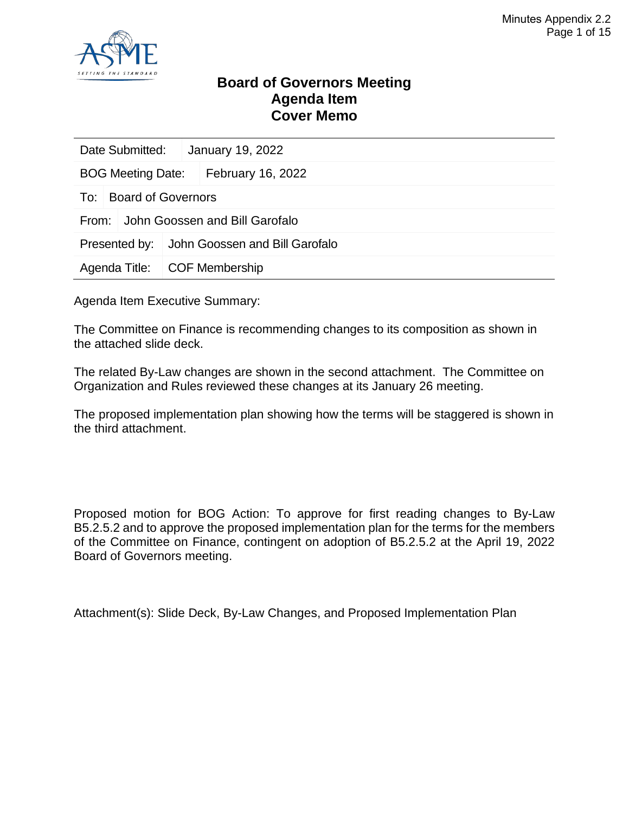

#### **Board of Governors Meeting Agenda Item Cover Memo**

| Date Submitted:                         |  | January 19, 2022                             |  |  |
|-----------------------------------------|--|----------------------------------------------|--|--|
| BOG Meeting Date:   February 16, 2022   |  |                                              |  |  |
| To: Board of Governors                  |  |                                              |  |  |
| John Goossen and Bill Garofalo<br>From: |  |                                              |  |  |
|                                         |  | Presented by: John Goossen and Bill Garofalo |  |  |
| Agenda Title:   COF Membership          |  |                                              |  |  |

Agenda Item Executive Summary:

The Committee on Finance is recommending changes to its composition as shown in the attached slide deck.

The related By-Law changes are shown in the second attachment. The Committee on Organization and Rules reviewed these changes at its January 26 meeting.

The proposed implementation plan showing how the terms will be staggered is shown in the third attachment.

Proposed motion for BOG Action: To approve for first reading changes to By-Law B5.2.5.2 and to approve the proposed implementation plan for the terms for the members of the Committee on Finance, contingent on adoption of B5.2.5.2 at the April 19, 2022 Board of Governors meeting.

Attachment(s): Slide Deck, By-Law Changes, and Proposed Implementation Plan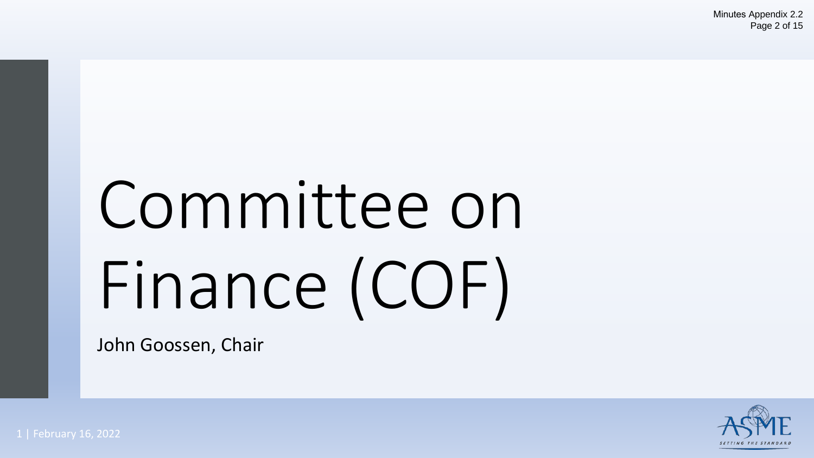# Committee on Finance (COF)

John Goossen, Chair

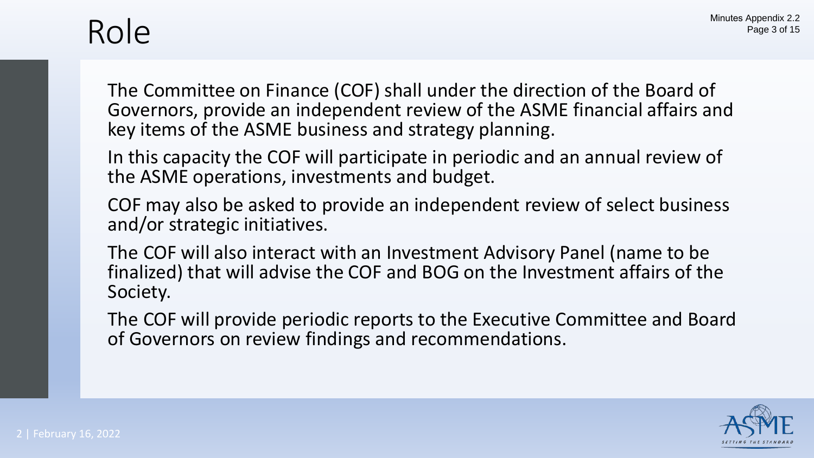### Role

The Committee on Finance (COF) shall under the direction of the Board of Governors, provide an independent review of the ASME financial affairs and key items of the ASME business and strategy planning.

In this capacity the COF will participate in periodic and an annual review of the ASME operations, investments and budget.

COF may also be asked to provide an independent review of select business and/or strategic initiatives.

The COF will also interact with an Investment Advisory Panel (name to be finalized) that will advise the COF and BOG on the Investment affairs of the Society.

The COF will provide periodic reports to the Executive Committee and Board of Governors on review findings and recommendations.

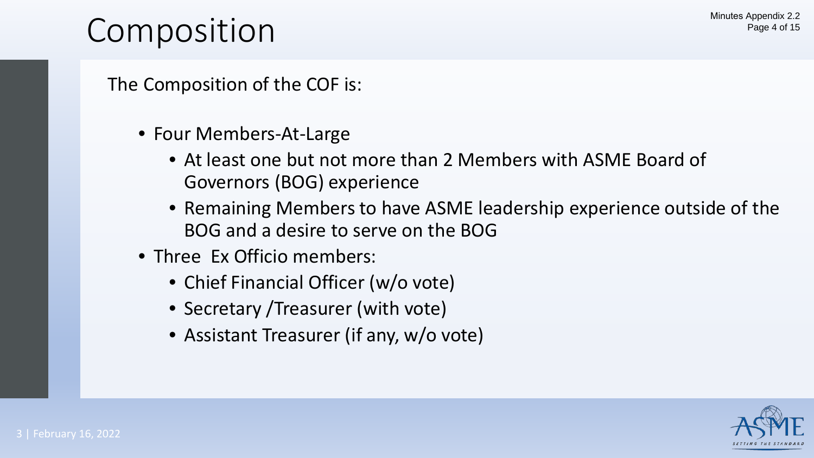### Composition

The Composition of the COF is:

- Four Members-At-Large
	- At least one but not more than 2 Members with ASME Board of Governors (BOG) experience
	- Remaining Members to have ASME leadership experience outside of the BOG and a desire to serve on the BOG
- Three Ex Officio members:
	- Chief Financial Officer (w/o vote)
	- Secretary / Treasurer (with vote)
	- Assistant Treasurer (if any, w/o vote)

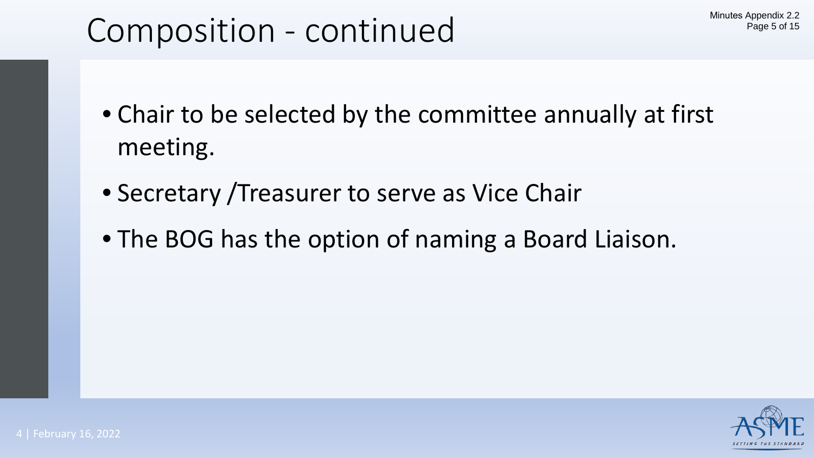### Composition - continued

- Chair to be selected by the committee annually at first meeting.
- Secretary /Treasurer to serve as Vice Chair
- The BOG has the option of naming a Board Liaison.

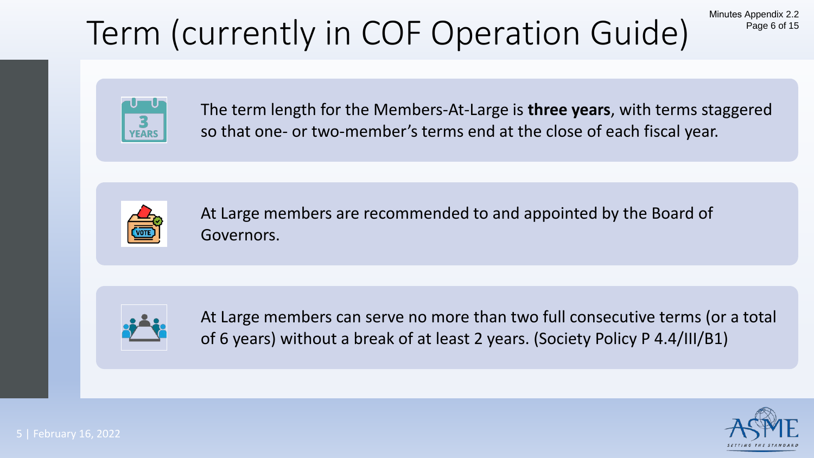# Term (currently in COF Operation Guide)

Minutes Appendix 2.2 Page 6 of 15



The term length for the Members-At-Large is **three years**, with terms staggered so that one- or two-member's terms end at the close of each fiscal year.



At Large members are recommended to and appointed by the Board of Governors.



At Large members can serve no more than two full consecutive terms (or a total of 6 years) without a break of at least 2 years. (Society Policy P 4.4/III/B1)

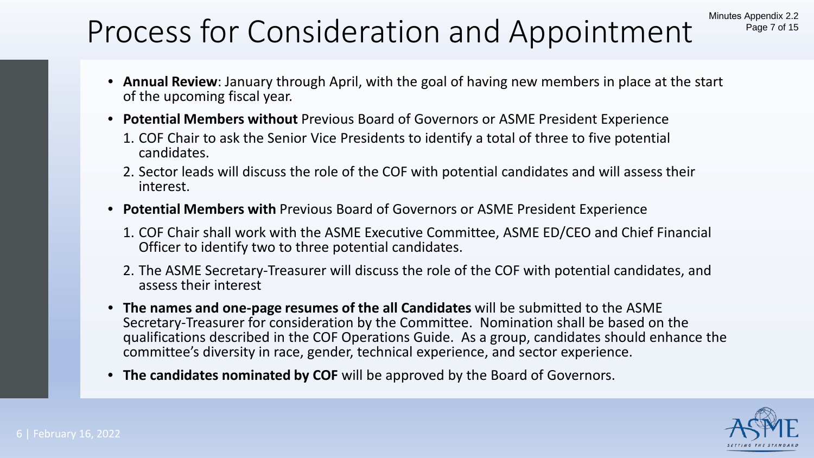### Process for Consideration and Appointment

- **Annual Review**: January through April, with the goal of having new members in place at the start of the upcoming fiscal year.
- **Potential Members without** Previous Board of Governors or ASME President Experience
	- 1. COF Chair to ask the Senior Vice Presidents to identify a total of three to five potential candidates.
	- 2. Sector leads will discuss the role of the COF with potential candidates and will assess their interest.
- **Potential Members with** Previous Board of Governors or ASME President Experience
	- 1. COF Chair shall work with the ASME Executive Committee, ASME ED/CEO and Chief Financial Officer to identify two to three potential candidates.
	- 2. The ASME Secretary-Treasurer will discuss the role of the COF with potential candidates, and assess their interest
- **The names and one-page resumes of the all Candidates** will be submitted to the ASME Secretary-Treasurer for consideration by the Committee. Nomination shall be based on the qualifications described in the COF Operations Guide. As a group, candidates should enhance the committee's diversity in race, gender, technical experience, and sector experience.
- **The candidates nominated by COF** will be approved by the Board of Governors.



Minutes Appendix 2.2

Page 7 of 15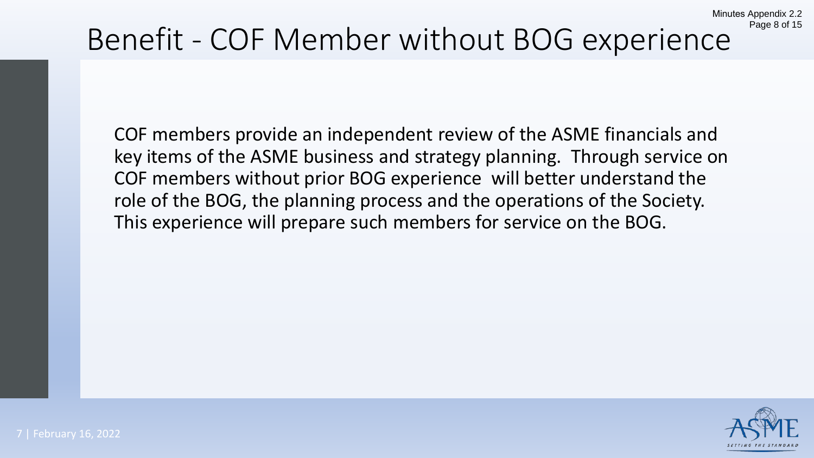# Benefit - COF Member without BOG experience

COF members provide an independent review of the ASME financials and key items of the ASME business and strategy planning. Through service on COF members without prior BOG experience will better understand the role of the BOG, the planning process and the operations of the Society. This experience will prepare such members for service on the BOG.



Minutes Appendix 2.2

Page 8 of 15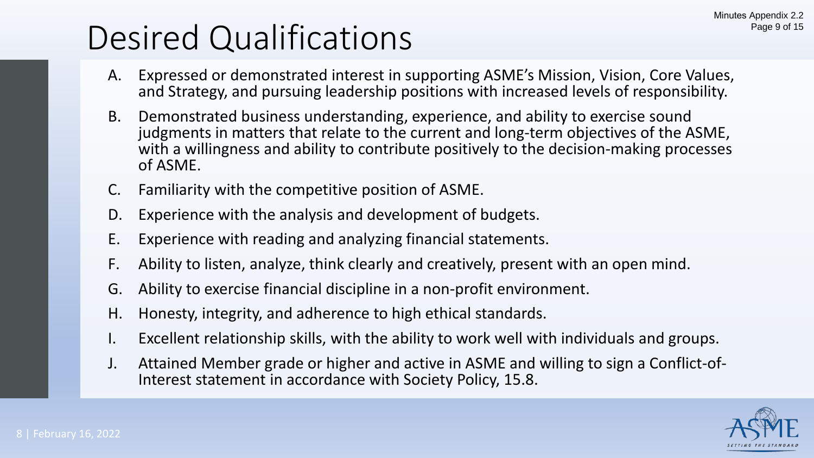## Desired Qualifications

- A. Expressed or demonstrated interest in supporting ASME's Mission, Vision, Core Values, and Strategy, and pursuing leadership positions with increased levels of responsibility.
- B. Demonstrated business understanding, experience, and ability to exercise sound judgments in matters that relate to the current and long-term objectives of the ASME, with a willingness and ability to contribute positively to the decision-making processes of ASME.
- C. Familiarity with the competitive position of ASME.
- D. Experience with the analysis and development of budgets.
- E. Experience with reading and analyzing financial statements.
- F. Ability to listen, analyze, think clearly and creatively, present with an open mind.
- G. Ability to exercise financial discipline in a non-profit environment.
- H. Honesty, integrity, and adherence to high ethical standards.
- Excellent relationship skills, with the ability to work well with individuals and groups.
- J. Attained Member grade or higher and active in ASME and willing to sign a Conflict-of- Interest statement in accordance with Society Policy, 15.8.

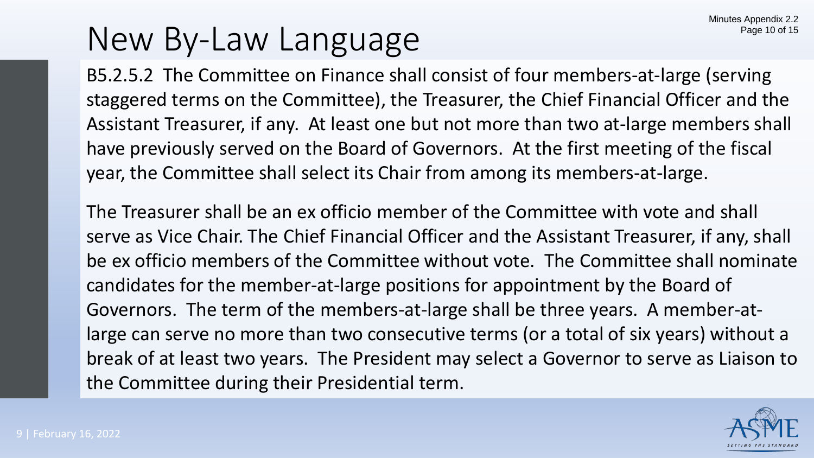### New By-Law Language

B5.2.5.2 The Committee on Finance shall consist of four members-at-large (serving staggered terms on the Committee), the Treasurer, the Chief Financial Officer and the Assistant Treasurer, if any. At least one but not more than two at-large members shall have previously served on the Board of Governors. At the first meeting of the fiscal year, the Committee shall select its Chair from among its members-at-large.

The Treasurer shall be an ex officio member of the Committee with vote and shall serve as Vice Chair. The Chief Financial Officer and the Assistant Treasurer, if any, shall be ex officio members of the Committee without vote. The Committee shall nominate candidates for the member-at-large positions for appointment by the Board of Governors. The term of the members-at-large shall be three years. A member-atlarge can serve no more than two consecutive terms (or a total of six years) without a break of at least two years. The President may select a Governor to serve as Liaison to the Committee during their Presidential term.

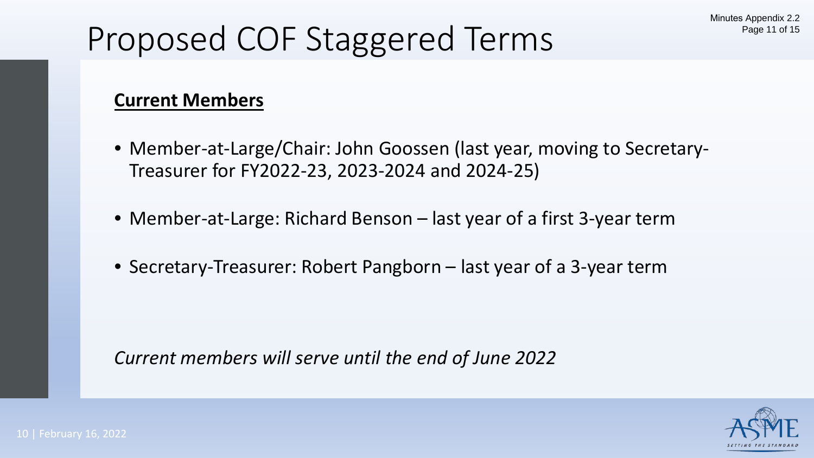# Proposed COF Staggered Terms

### **Current Members**

- Member-at-Large/Chair: John Goossen (last year, moving to Secretary-Treasurer for FY2022-23, 2023-2024 and 2024-25)
- Member-at-Large: Richard Benson last year of a first 3-year term
- Secretary-Treasurer: Robert Pangborn last year of a 3-year term

*Current members will serve until the end of June 2022*

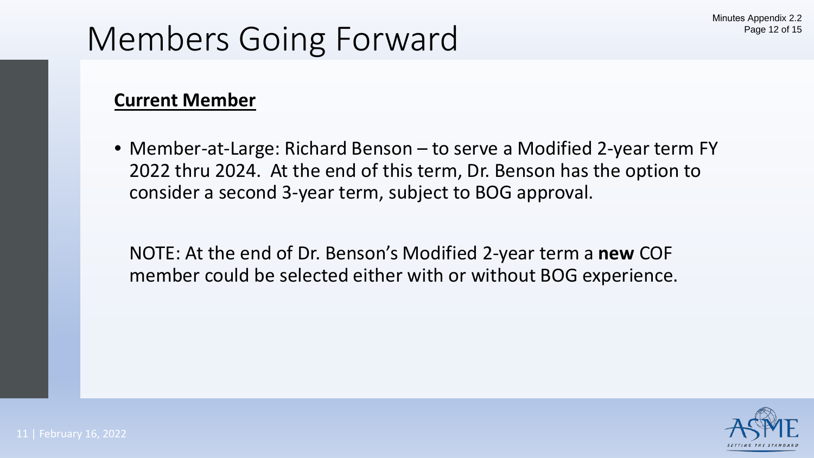### Members Going Forward

### **Current Member**

• Member-at-Large: Richard Benson – to serve a Modified 2-year term FY 2022 thru 2024. At the end of this term, Dr. Benson has the option to consider a second 3-year term, subject to BOG approval.

NOTE: At the end of Dr. Benson's Modified 2-year term a **new** COF member could be selected either with or without BOG experience.

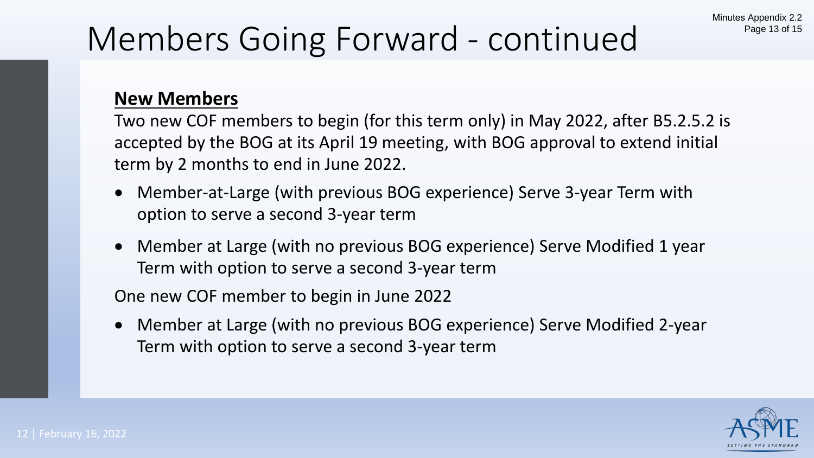## Members Going Forward - continued

### **New Members**

Two new COF members to begin (for this term only) in May 2022, after B5.2.5.2 is accepted by the BOG at its April 19 meeting, with BOG approval to extend initial term by 2 months to end in June 2022.

- Member-at-Large (with previous BOG experience) Serve 3-year Term with option to serve a second 3-year term
- Member at Large (with no previous BOG experience) Serve Modified 1 year Term with option to serve a second 3-year term

One new COF member to begin in June 2022

• Member at Large (with no previous BOG experience) Serve Modified 2-year Term with option to serve a second 3-year term

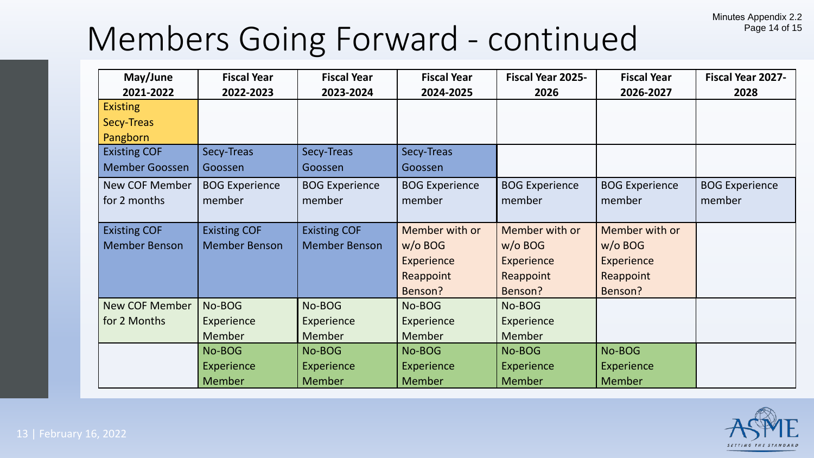## Members Going Forward - continued

| May/June              | <b>Fiscal Year</b>    | <b>Fiscal Year</b>    | <b>Fiscal Year</b>    | <b>Fiscal Year 2025-</b> | <b>Fiscal Year</b>    | Fiscal Year 2027-     |
|-----------------------|-----------------------|-----------------------|-----------------------|--------------------------|-----------------------|-----------------------|
| 2021-2022             | 2022-2023             | 2023-2024             | 2024-2025             | 2026                     | 2026-2027             | 2028                  |
| <b>Existing</b>       |                       |                       |                       |                          |                       |                       |
| Secy-Treas            |                       |                       |                       |                          |                       |                       |
| Pangborn              |                       |                       |                       |                          |                       |                       |
| <b>Existing COF</b>   | Secy-Treas            | Secy-Treas            | Secy-Treas            |                          |                       |                       |
| <b>Member Goossen</b> | Goossen               | Goossen               | Goossen               |                          |                       |                       |
| <b>New COF Member</b> | <b>BOG Experience</b> | <b>BOG Experience</b> | <b>BOG Experience</b> | <b>BOG Experience</b>    | <b>BOG Experience</b> | <b>BOG Experience</b> |
| for 2 months          | member                | member                | member                | member                   | member                | member                |
|                       |                       |                       |                       |                          |                       |                       |
| <b>Existing COF</b>   | <b>Existing COF</b>   | <b>Existing COF</b>   | Member with or        | Member with or           | Member with or        |                       |
| <b>Member Benson</b>  | <b>Member Benson</b>  | <b>Member Benson</b>  | $w/o$ BOG             | $w/o$ BOG                | $w/o$ BOG             |                       |
|                       |                       |                       | <b>Experience</b>     | Experience               | <b>Experience</b>     |                       |
|                       |                       |                       | Reappoint             | Reappoint                | Reappoint             |                       |
|                       |                       |                       | Benson?               | Benson?                  | Benson?               |                       |
| <b>New COF Member</b> | No-BOG                | No-BOG                | No-BOG                | No-BOG                   |                       |                       |
| for 2 Months          | Experience            | <b>Experience</b>     | <b>Experience</b>     | Experience               |                       |                       |
|                       | <b>Member</b>         | Member                | Member                | Member                   |                       |                       |
|                       | No-BOG                | No-BOG                | No-BOG                | No-BOG                   | No-BOG                |                       |
|                       | Experience            | Experience            | Experience            | Experience               | Experience            |                       |
|                       | <b>Member</b>         | <b>Member</b>         | <b>Member</b>         | <b>Member</b>            | <b>Member</b>         |                       |